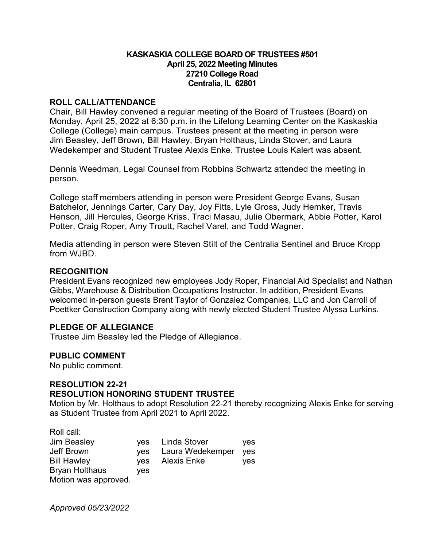## **KASKASKIA COLLEGE BOARD OF TRUSTEES #501 April 25, 2022 Meeting Minutes 27210 College Road Centralia, IL 62801**

#### **ROLL CALL/ATTENDANCE**

Chair, Bill Hawley convened a regular meeting of the Board of Trustees (Board) on Monday, April 25, 2022 at 6:30 p.m. in the Lifelong Learning Center on the Kaskaskia College (College) main campus. Trustees present at the meeting in person were Jim Beasley, Jeff Brown, Bill Hawley, Bryan Holthaus, Linda Stover, and Laura Wedekemper and Student Trustee Alexis Enke. Trustee Louis Kalert was absent.

Dennis Weedman, Legal Counsel from Robbins Schwartz attended the meeting in person.

College staff members attending in person were President George Evans, Susan Batchelor, Jennings Carter, Cary Day, Joy Fitts, Lyle Gross, Judy Hemker, Travis Henson, Jill Hercules, George Kriss, Traci Masau, Julie Obermark, Abbie Potter, Karol Potter, Craig Roper, Amy Troutt, Rachel Varel, and Todd Wagner.

Media attending in person were Steven Stilt of the Centralia Sentinel and Bruce Kropp from WJBD.

## **RECOGNITION**

President Evans recognized new employees Jody Roper, Financial Aid Specialist and Nathan Gibbs, Warehouse & Distribution Occupations Instructor. In addition, President Evans welcomed in-person guests Brent Taylor of Gonzalez Companies, LLC and Jon Carroll of Poettker Construction Company along with newly elected Student Trustee Alyssa Lurkins.

## **PLEDGE OF ALLEGIANCE**

Trustee Jim Beasley led the Pledge of Allegiance.

#### **PUBLIC COMMENT**

No public comment.

Roll call

#### **RESOLUTION 22-21 RESOLUTION HONORING STUDENT TRUSTEE**

Motion by Mr. Holthaus to adopt Resolution 22-21 thereby recognizing Alexis Enke for serving as Student Trustee from April 2021 to April 2022.

|            | yes                                                         |
|------------|-------------------------------------------------------------|
|            | ves                                                         |
|            | ves                                                         |
| <b>ves</b> |                                                             |
|            |                                                             |
|            | yes Linda Stover<br>yes Laura Wedekemper<br>yes Alexis Enke |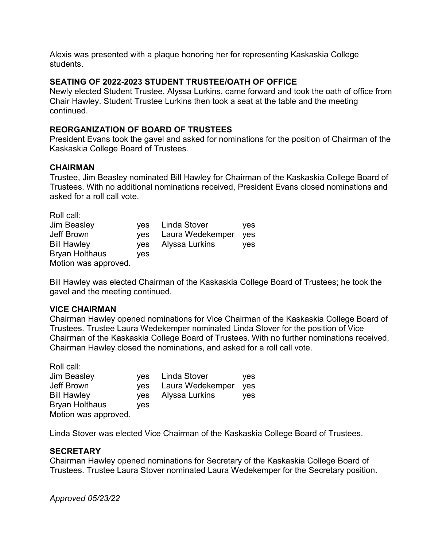Alexis was presented with a plaque honoring her for representing Kaskaskia College students.

## **SEATING OF 2022-2023 STUDENT TRUSTEE/OATH OF OFFICE**

Newly elected Student Trustee, Alyssa Lurkins, came forward and took the oath of office from Chair Hawley. Student Trustee Lurkins then took a seat at the table and the meeting continued.

# **REORGANIZATION OF BOARD OF TRUSTEES**

President Evans took the gavel and asked for nominations for the position of Chairman of the Kaskaskia College Board of Trustees.

## **CHAIRMAN**

Trustee, Jim Beasley nominated Bill Hawley for Chairman of the Kaskaskia College Board of Trustees. With no additional nominations received, President Evans closed nominations and asked for a roll call vote.

| Roll call:            |            |                  |     |
|-----------------------|------------|------------------|-----|
| <b>Jim Beasley</b>    |            | ves Linda Stover | yes |
| Jeff Brown            | <b>ves</b> | Laura Wedekemper | yes |
| <b>Bill Hawley</b>    | yes        | Alyssa Lurkins   | ves |
| <b>Bryan Holthaus</b> | ves        |                  |     |
| Motion was approved.  |            |                  |     |

Bill Hawley was elected Chairman of the Kaskaskia College Board of Trustees; he took the gavel and the meeting continued.

## **VICE CHAIRMAN**

Chairman Hawley opened nominations for Vice Chairman of the Kaskaskia College Board of Trustees. Trustee Laura Wedekemper nominated Linda Stover for the position of Vice Chairman of the Kaskaskia College Board of Trustees. With no further nominations received, Chairman Hawley closed the nominations, and asked for a roll call vote.

| Roll call:            |            |                  |            |
|-----------------------|------------|------------------|------------|
| Jim Beasley           | ves        | Linda Stover     | ves        |
| Jeff Brown            | <b>ves</b> | Laura Wedekemper | yes        |
| <b>Bill Hawley</b>    | yes        | Alyssa Lurkins   | <b>ves</b> |
| <b>Bryan Holthaus</b> | ves        |                  |            |
| Motion was approved.  |            |                  |            |

Linda Stover was elected Vice Chairman of the Kaskaskia College Board of Trustees.

# **SECRETARY**

Chairman Hawley opened nominations for Secretary of the Kaskaskia College Board of Trustees. Trustee Laura Stover nominated Laura Wedekemper for the Secretary position.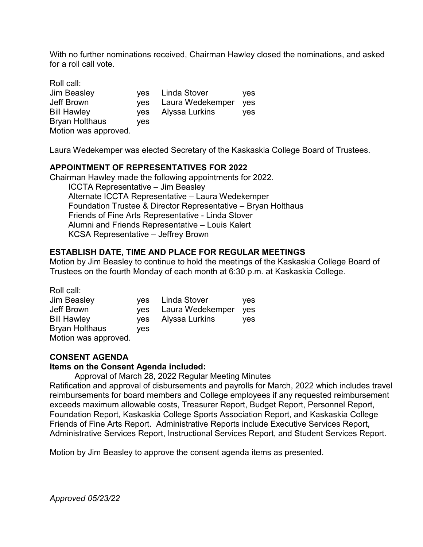With no further nominations received, Chairman Hawley closed the nominations, and asked for a roll call vote.

| Roll call:            |            |                  |     |
|-----------------------|------------|------------------|-----|
| Jim Beasley           | ves        | Linda Stover     | yes |
| Jeff Brown            | <b>ves</b> | Laura Wedekemper | yes |
| <b>Bill Hawley</b>    | ves        | Alyssa Lurkins   | yes |
| <b>Bryan Holthaus</b> | ves        |                  |     |
| Motion was approved.  |            |                  |     |

Laura Wedekemper was elected Secretary of the Kaskaskia College Board of Trustees.

## **APPOINTMENT OF REPRESENTATIVES FOR 2022**

Chairman Hawley made the following appointments for 2022. ICCTA Representative – Jim Beasley Alternate ICCTA Representative – Laura Wedekemper Foundation Trustee & Director Representative – Bryan Holthaus Friends of Fine Arts Representative - Linda Stover Alumni and Friends Representative – Louis Kalert KCSA Representative – Jeffrey Brown

## **ESTABLISH DATE, TIME AND PLACE FOR REGULAR MEETINGS**

Motion by Jim Beasley to continue to hold the meetings of the Kaskaskia College Board of Trustees on the fourth Monday of each month at 6:30 p.m. at Kaskaskia College.

Roll call:

| <b>Jim Beasley</b>    |     | ves Linda Stover     | yes |
|-----------------------|-----|----------------------|-----|
| Jeff Brown            |     | yes Laura Wedekemper | yes |
| <b>Bill Hawley</b>    |     | yes Alyssa Lurkins   | ves |
| <b>Bryan Holthaus</b> | ves |                      |     |
| Motion was approved.  |     |                      |     |

## **CONSENT AGENDA**

#### **Items on the Consent Agenda included:**

Approval of March 28, 2022 Regular Meeting Minutes Ratification and approval of disbursements and payrolls for March, 2022 which includes travel reimbursements for board members and College employees if any requested reimbursement exceeds maximum allowable costs, Treasurer Report, Budget Report, Personnel Report, Foundation Report, Kaskaskia College Sports Association Report, and Kaskaskia College

Friends of Fine Arts Report. Administrative Reports include Executive Services Report, Administrative Services Report, Instructional Services Report, and Student Services Report.

Motion by Jim Beasley to approve the consent agenda items as presented.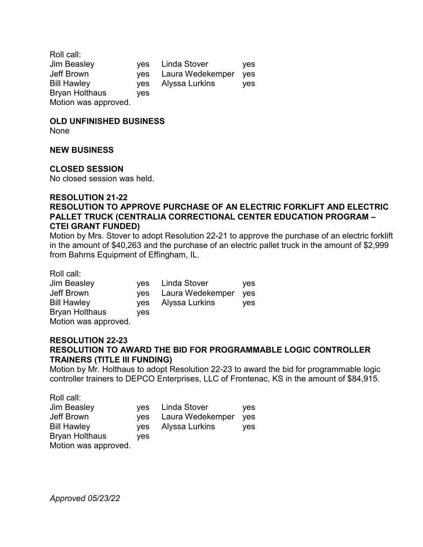Roll call: Jim Beasley yes Linda Stover yes Jeff Brown yes Laura Wedekemper yes Bill Hawley yes Alyssa Lurkins yes Bryan Holthaus yes Motion was approved.

#### **OLD UNFINISHED BUSINESS**

None

#### **NEW BUSINESS**

#### **CLOSED SESSION**

No closed session was held.

## **RESOLUTION 21-22 RESOLUTION TO APPROVE PURCHASE OF AN ELECTRIC FORKLIFT AND ELECTRIC PALLET TRUCK (CENTRALIA CORRECTIONAL CENTER EDUCATION PROGRAM – CTEI GRANT FUNDED)**

Motion by Mrs. Stover to adopt Resolution 22-21 to approve the purchase of an electric forklift in the amount of \$40,263 and the purchase of an electric pallet truck in the amount of \$2,999 from Bahrns Equipment of Effingham, IL.

Roll call:

| <b>Jim Beasley</b>    |     | yes Linda Stover | ves        |
|-----------------------|-----|------------------|------------|
| Jeff Brown            | yes | Laura Wedekemper | <b>ves</b> |
| <b>Bill Hawley</b>    | ves | Alyssa Lurkins   | ves        |
| <b>Bryan Holthaus</b> | ves |                  |            |
| Motion was approved.  |     |                  |            |

#### **RESOLUTION 22-23 RESOLUTION TO AWARD THE BID FOR PROGRAMMABLE LOGIC CONTROLLER TRAINERS (TITLE III FUNDING)**

Motion by Mr. Holthaus to adopt Resolution 22-23 to award the bid for programmable logic controller trainers to DEPCO Enterprises, LLC of Frontenac, KS in the amount of \$84,915.

| Roll call:            |            |                  |     |
|-----------------------|------------|------------------|-----|
| <b>Jim Beasley</b>    |            | yes Linda Stover | yes |
| Jeff Brown            | <b>ves</b> | Laura Wedekemper | yes |
| <b>Bill Hawley</b>    | yes        | Alyssa Lurkins   | ves |
| <b>Bryan Holthaus</b> | yes        |                  |     |
| Motion was approved.  |            |                  |     |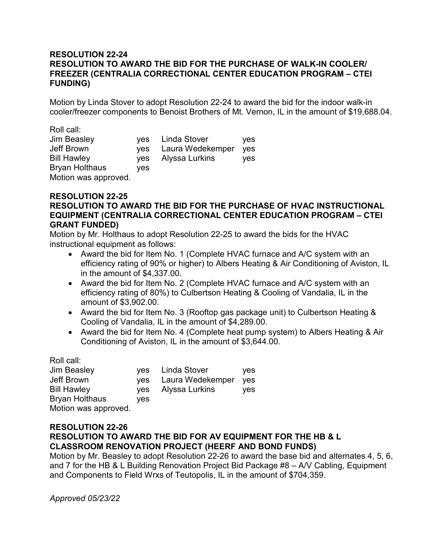## **RESOLUTION 22-24 RESOLUTION TO AWARD THE BID FOR THE PURCHASE OF WALK-IN COOLER/ FREEZER (CENTRALIA CORRECTIONAL CENTER EDUCATION PROGRAM – CTEI FUNDING)**

Motion by Linda Stover to adopt Resolution 22-24 to award the bid for the indoor walk-in cooler/freezer components to Benoist Brothers of Mt. Vernon, IL in the amount of \$19,688.04.

| Roll call:            |            |                  |     |
|-----------------------|------------|------------------|-----|
| Jim Beasley           | yes        | Linda Stover     | ves |
| Jeff Brown            | <b>ves</b> | Laura Wedekemper | yes |
| <b>Bill Hawley</b>    | <b>ves</b> | Alyssa Lurkins   | ves |
| <b>Bryan Holthaus</b> | ves        |                  |     |
| Motion was approved.  |            |                  |     |

 $R = 100$ 

#### **RESOLUTION 22-25 RESOLUTION TO AWARD THE BID FOR THE PURCHASE OF HVAC INSTRUCTIONAL EQUIPMENT (CENTRALIA CORRECTIONAL CENTER EDUCATION PROGRAM – CTEI GRANT FUNDED)**

Motion by Mr. Holthaus to adopt Resolution 22-25 to award the bids for the HVAC instructional equipment as follows:

- Award the bid for Item No. 1 (Complete HVAC furnace and A/C system with an efficiency rating of 90% or higher) to Albers Heating & Air Conditioning of Aviston, IL in the amount of \$4,337.00.
- Award the bid for Item No. 2 (Complete HVAC furnace and A/C system with an efficiency rating of 80%) to Culbertson Heating & Cooling of Vandalia, IL in the amount of \$3,902.00.
- Award the bid for Item No. 3 (Rooftop gas package unit) to Culbertson Heating & Cooling of Vandalia, IL in the amount of \$4,289.00.
- Award the bid for Item No. 4 (Complete heat pump system) to Albers Heating & Air Conditioning of Aviston, IL in the amount of \$3,644.00.

| Roll call:            |     |                  |     |
|-----------------------|-----|------------------|-----|
| <b>Jim Beasley</b>    |     | yes Linda Stover | yes |
| <b>Jeff Brown</b>     | yes | Laura Wedekemper | yes |
| <b>Bill Hawley</b>    | ves | Alyssa Lurkins   | ves |
| <b>Bryan Holthaus</b> | ves |                  |     |
| Motion was approved.  |     |                  |     |

#### **RESOLUTION 22-26 RESOLUTION TO AWARD THE BID FOR AV EQUIPMENT FOR THE HB & L CLASSROOM RENOVATION PROJECT (HEERF AND BOND FUNDS)**

Motion by Mr. Beasley to adopt Resolution 22-26 to award the base bid and alternates 4, 5, 6, and 7 for the HB & L Building Renovation Project Bid Package #8 – A/V Cabling, Equipment and Components to Field Wrxs of Teutopolis, IL in the amount of \$704,359.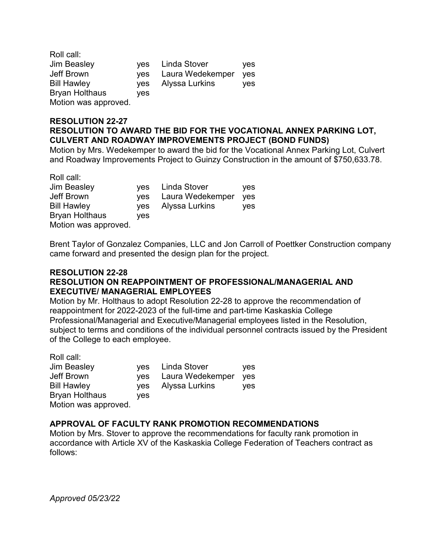Roll call: Jim Beasley yes Linda Stover yes Jeff Brown yes Laura Wedekemper yes Bill Hawley yes Alyssa Lurkins yes Bryan Holthaus yes Motion was approved.

## **RESOLUTION 22-27 RESOLUTION TO AWARD THE BID FOR THE VOCATIONAL ANNEX PARKING LOT, CULVERT AND ROADWAY IMPROVEMENTS PROJECT (BOND FUNDS)**

Motion by Mrs. Wedekemper to award the bid for the Vocational Annex Parking Lot, Culvert and Roadway Improvements Project to Guinzy Construction in the amount of \$750,633.78.

Roll call:

Motion was approved.

Bryan Holthaus yes

Jim Beasley yes Linda Stover yes Jeff Brown yes Laura Wedekemper yes Bill Hawley yes Alyssa Lurkins yes

Brent Taylor of Gonzalez Companies, LLC and Jon Carroll of Poettker Construction company came forward and presented the design plan for the project.

## **RESOLUTION 22-28 RESOLUTION ON REAPPOINTMENT OF PROFESSIONAL/MANAGERIAL AND EXECUTIVE/ MANAGERIAL EMPLOYEES**

Motion by Mr. Holthaus to adopt Resolution 22-28 to approve the recommendation of reappointment for 2022-2023 of the full-time and part-time Kaskaskia College Professional/Managerial and Executive/Managerial employees listed in the Resolution, subject to terms and conditions of the individual personnel contracts issued by the President of the College to each employee.

| Roll call:           |     |                  |     |
|----------------------|-----|------------------|-----|
| <b>Jim Beasley</b>   |     | yes Linda Stover | yes |
| <b>Jeff Brown</b>    | ves | Laura Wedekemper | yes |
| <b>Bill Hawley</b>   | yes | Alyssa Lurkins   | yes |
| Bryan Holthaus       | ves |                  |     |
| Motion was approved. |     |                  |     |

## **APPROVAL OF FACULTY RANK PROMOTION RECOMMENDATIONS**

Motion by Mrs. Stover to approve the recommendations for faculty rank promotion in accordance with Article XV of the Kaskaskia College Federation of Teachers contract as follows: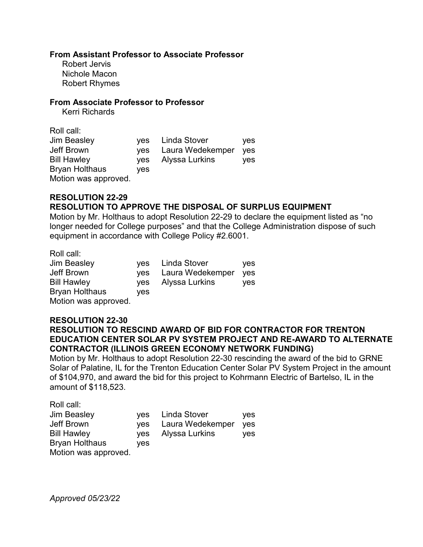#### **From Assistant Professor to Associate Professor**

Robert Jervis Nichole Macon Robert Rhymes

#### **From Associate Professor to Professor**

Kerri Richards

| Roll call:            |            |                  |            |
|-----------------------|------------|------------------|------------|
| Jim Beasley           | ves        | Linda Stover     | <b>ves</b> |
| Jeff Brown            | yes        | Laura Wedekemper | yes        |
| <b>Bill Hawley</b>    | <b>ves</b> | Alyssa Lurkins   | <b>ves</b> |
| <b>Bryan Holthaus</b> | ves        |                  |            |
| Motion was approved.  |            |                  |            |

#### **RESOLUTION 22-29 RESOLUTION TO APPROVE THE DISPOSAL OF SURPLUS EQUIPMENT**

Motion by Mr. Holthaus to adopt Resolution 22-29 to declare the equipment listed as "no longer needed for College purposes" and that the College Administration dispose of such equipment in accordance with College Policy #2.6001.

Roll call:

| <b>Jim Beasley</b>    |     | yes Linda Stover   | yes |
|-----------------------|-----|--------------------|-----|
| Jeff Brown            | ves | Laura Wedekemper   | ves |
| <b>Bill Hawley</b>    |     | yes Alyssa Lurkins | yes |
| <b>Bryan Holthaus</b> | ves |                    |     |
| Motion was approved.  |     |                    |     |

## **RESOLUTION 22-30**

**RESOLUTION TO RESCIND AWARD OF BID FOR CONTRACTOR FOR TRENTON EDUCATION CENTER SOLAR PV SYSTEM PROJECT AND RE-AWARD TO ALTERNATE CONTRACTOR (ILLINOIS GREEN ECONOMY NETWORK FUNDING)**

Motion by Mr. Holthaus to adopt Resolution 22-30 rescinding the award of the bid to GRNE Solar of Palatine, IL for the Trenton Education Center Solar PV System Project in the amount of \$104,970, and award the bid for this project to Kohrmann Electric of Bartelso, IL in the amount of \$118,523.

Roll call:

| <b>Jim Beasley</b>   |     | yes Linda Stover | <b>ves</b> |
|----------------------|-----|------------------|------------|
| Jeff Brown           | ves | Laura Wedekemper | yes        |
| <b>Bill Hawley</b>   | ves | Alyssa Lurkins   | yes        |
| Bryan Holthaus       | ves |                  |            |
| Motion was approved. |     |                  |            |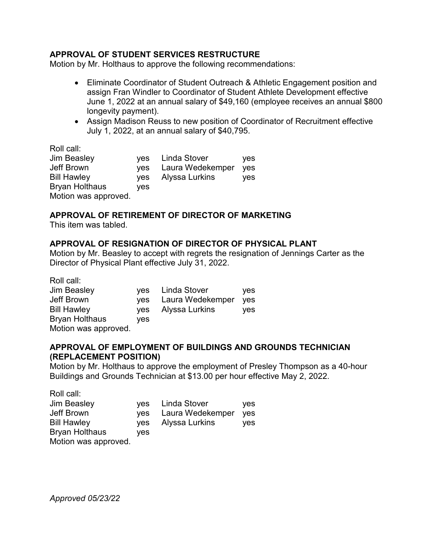## **APPROVAL OF STUDENT SERVICES RESTRUCTURE**

Motion by Mr. Holthaus to approve the following recommendations:

- Eliminate Coordinator of Student Outreach & Athletic Engagement position and assign Fran Windler to Coordinator of Student Athlete Development effective June 1, 2022 at an annual salary of \$49,160 (employee receives an annual \$800 longevity payment).
- Assign Madison Reuss to new position of Coordinator of Recruitment effective July 1, 2022, at an annual salary of \$40,795.

Roll call:

| Jim Beasley           | ves | Linda Stover     | yes |
|-----------------------|-----|------------------|-----|
| Jeff Brown            | yes | Laura Wedekemper | yes |
| <b>Bill Hawley</b>    | ves | Alyssa Lurkins   | yes |
| <b>Bryan Holthaus</b> | ves |                  |     |
| Motion was approved.  |     |                  |     |

# **APPROVAL OF RETIREMENT OF DIRECTOR OF MARKETING**

This item was tabled.

## **APPROVAL OF RESIGNATION OF DIRECTOR OF PHYSICAL PLANT**

Motion by Mr. Beasley to accept with regrets the resignation of Jennings Carter as the Director of Physical Plant effective July 31, 2022.

| Roll call:            |            |                  |     |
|-----------------------|------------|------------------|-----|
| <b>Jim Beasley</b>    |            | yes Linda Stover | yes |
| Jeff Brown            | <b>ves</b> | Laura Wedekemper | yes |
| <b>Bill Hawley</b>    | <b>ves</b> | Alyssa Lurkins   | ves |
| <b>Bryan Holthaus</b> | ves        |                  |     |
| Motion was approved.  |            |                  |     |

## **APPROVAL OF EMPLOYMENT OF BUILDINGS AND GROUNDS TECHNICIAN (REPLACEMENT POSITION)**

Motion by Mr. Holthaus to approve the employment of Presley Thompson as a 40-hour Buildings and Grounds Technician at \$13.00 per hour effective May 2, 2022.

| Roll call:            |     |                  |     |
|-----------------------|-----|------------------|-----|
| <b>Jim Beasley</b>    |     | yes Linda Stover | yes |
| Jeff Brown            | yes | Laura Wedekemper | yes |
| <b>Bill Hawley</b>    | ves | Alyssa Lurkins   | ves |
| <b>Bryan Holthaus</b> | ves |                  |     |
| Motion was approved.  |     |                  |     |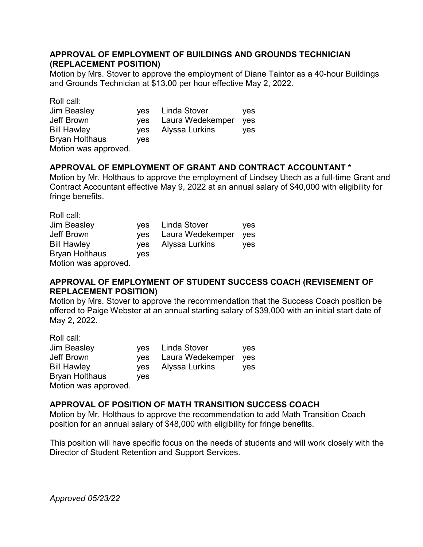## **APPROVAL OF EMPLOYMENT OF BUILDINGS AND GROUNDS TECHNICIAN (REPLACEMENT POSITION)**

Motion by Mrs. Stover to approve the employment of Diane Taintor as a 40-hour Buildings and Grounds Technician at \$13.00 per hour effective May 2, 2022.

| Roll call:            |            |                  |            |
|-----------------------|------------|------------------|------------|
| <b>Jim Beasley</b>    | ves        | Linda Stover     | yes        |
| <b>Jeff Brown</b>     | <b>ves</b> | Laura Wedekemper | <b>ves</b> |
| <b>Bill Hawley</b>    | <b>ves</b> | Alyssa Lurkins   | yes        |
| <b>Bryan Holthaus</b> | ves        |                  |            |
| Motion was approved.  |            |                  |            |

# **APPROVAL OF EMPLOYMENT OF GRANT AND CONTRACT ACCOUNTANT \***

Motion by Mr. Holthaus to approve the employment of Lindsey Utech as a full-time Grant and Contract Accountant effective May 9, 2022 at an annual salary of \$40,000 with eligibility for fringe benefits.

| Roll call:            |            |                  |            |
|-----------------------|------------|------------------|------------|
| <b>Jim Beasley</b>    | ves        | Linda Stover     | <b>ves</b> |
| <b>Jeff Brown</b>     | <b>ves</b> | Laura Wedekemper | yes        |
| <b>Bill Hawley</b>    | ves        | Alyssa Lurkins   | ves        |
| <b>Bryan Holthaus</b> | yes        |                  |            |
| Motion was approved.  |            |                  |            |

## **APPROVAL OF EMPLOYMENT OF STUDENT SUCCESS COACH (REVISEMENT OF REPLACEMENT POSITION)**

Motion by Mrs. Stover to approve the recommendation that the Success Coach position be offered to Paige Webster at an annual starting salary of \$39,000 with an initial start date of May 2, 2022.

| Roll call:            |            |                  |            |
|-----------------------|------------|------------------|------------|
| Jim Beasley           | ves        | Linda Stover     | <b>ves</b> |
| Jeff Brown            | <b>ves</b> | Laura Wedekemper | yes        |
| <b>Bill Hawley</b>    | <b>ves</b> | Alyssa Lurkins   | ves        |
| <b>Bryan Holthaus</b> | yes        |                  |            |
| Motion was approved.  |            |                  |            |

# **APPROVAL OF POSITION OF MATH TRANSITION SUCCESS COACH**

Motion by Mr. Holthaus to approve the recommendation to add Math Transition Coach position for an annual salary of \$48,000 with eligibility for fringe benefits.

This position will have specific focus on the needs of students and will work closely with the Director of Student Retention and Support Services.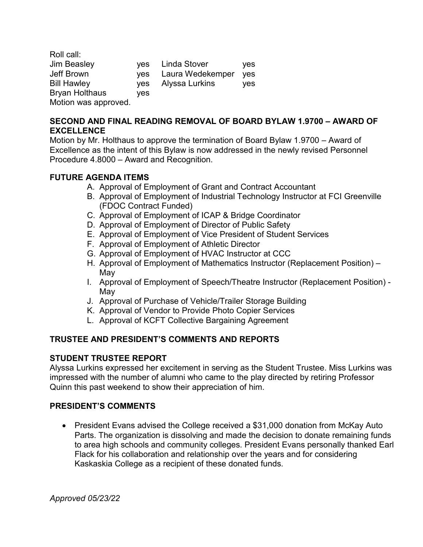Roll call: Jim Beasley yes Linda Stover yes Jeff Brown yes Laura Wedekemper yes Bill Hawley yes Alyssa Lurkins yes Bryan Holthaus yes Motion was approved.

## **SECOND AND FINAL READING REMOVAL OF BOARD BYLAW 1.9700 – AWARD OF EXCELLENCE**

Motion by Mr. Holthaus to approve the termination of Board Bylaw 1.9700 – Award of Excellence as the intent of this Bylaw is now addressed in the newly revised Personnel Procedure 4.8000 – Award and Recognition.

# **FUTURE AGENDA ITEMS**

- A. Approval of Employment of Grant and Contract Accountant
- B. Approval of Employment of Industrial Technology Instructor at FCI Greenville (FDOC Contract Funded)
- C. Approval of Employment of ICAP & Bridge Coordinator
- D. Approval of Employment of Director of Public Safety
- E. Approval of Employment of Vice President of Student Services
- F. Approval of Employment of Athletic Director
- G. Approval of Employment of HVAC Instructor at CCC
- H. Approval of Employment of Mathematics Instructor (Replacement Position) May
- I. Approval of Employment of Speech/Theatre Instructor (Replacement Position) May
- J. Approval of Purchase of Vehicle/Trailer Storage Building
- K. Approval of Vendor to Provide Photo Copier Services
- L. Approval of KCFT Collective Bargaining Agreement

# **TRUSTEE AND PRESIDENT'S COMMENTS AND REPORTS**

## **STUDENT TRUSTEE REPORT**

Alyssa Lurkins expressed her excitement in serving as the Student Trustee. Miss Lurkins was impressed with the number of alumni who came to the play directed by retiring Professor Quinn this past weekend to show their appreciation of him.

# **PRESIDENT'S COMMENTS**

• President Evans advised the College received a \$31,000 donation from McKay Auto Parts. The organization is dissolving and made the decision to donate remaining funds to area high schools and community colleges. President Evans personally thanked Earl Flack for his collaboration and relationship over the years and for considering Kaskaskia College as a recipient of these donated funds.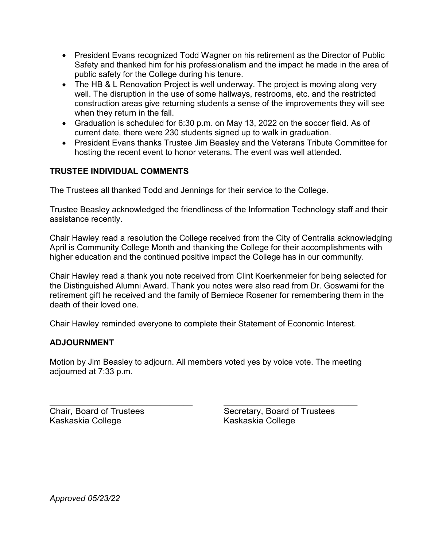- President Evans recognized Todd Wagner on his retirement as the Director of Public Safety and thanked him for his professionalism and the impact he made in the area of public safety for the College during his tenure.
- The HB & L Renovation Project is well underway. The project is moving along very well. The disruption in the use of some hallways, restrooms, etc. and the restricted construction areas give returning students a sense of the improvements they will see when they return in the fall.
- Graduation is scheduled for 6:30 p.m. on May 13, 2022 on the soccer field. As of current date, there were 230 students signed up to walk in graduation.
- President Evans thanks Trustee Jim Beasley and the Veterans Tribute Committee for hosting the recent event to honor veterans. The event was well attended.

# **TRUSTEE INDIVIDUAL COMMENTS**

The Trustees all thanked Todd and Jennings for their service to the College.

Trustee Beasley acknowledged the friendliness of the Information Technology staff and their assistance recently.

Chair Hawley read a resolution the College received from the City of Centralia acknowledging April is Community College Month and thanking the College for their accomplishments with higher education and the continued positive impact the College has in our community.

Chair Hawley read a thank you note received from Clint Koerkenmeier for being selected for the Distinguished Alumni Award. Thank you notes were also read from Dr. Goswami for the retirement gift he received and the family of Berniece Rosener for remembering them in the death of their loved one.

Chair Hawley reminded everyone to complete their Statement of Economic Interest.

## **ADJOURNMENT**

Motion by Jim Beasley to adjourn. All members voted yes by voice vote. The meeting adjourned at 7:33 p.m.

Kaskaskia College Kaskaskia College

\_\_\_\_\_\_\_\_\_\_\_\_\_\_\_\_\_\_\_\_\_\_\_\_\_\_\_\_\_\_\_ \_\_\_\_\_\_\_\_\_\_\_\_\_\_\_\_\_\_\_\_\_\_\_\_\_\_\_\_\_ Chair, Board of Trustees Secretary, Board of Trustees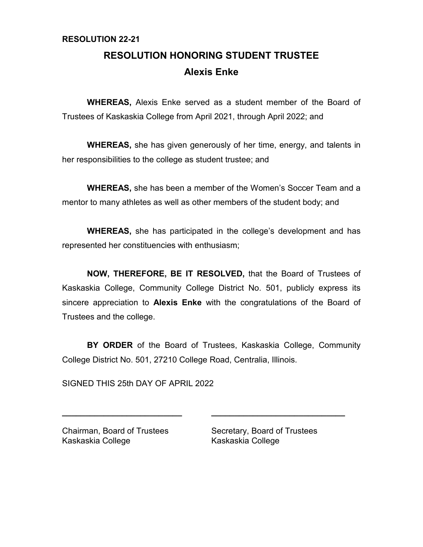# **RESOLUTION 22-21**

# **RESOLUTION HONORING STUDENT TRUSTEE Alexis Enke**

**WHEREAS,** Alexis Enke served as a student member of the Board of Trustees of Kaskaskia College from April 2021, through April 2022; and

**WHEREAS,** she has given generously of her time, energy, and talents in her responsibilities to the college as student trustee; and

**WHEREAS,** she has been a member of the Women's Soccer Team and a mentor to many athletes as well as other members of the student body; and

**WHEREAS,** she has participated in the college's development and has represented her constituencies with enthusiasm;

**NOW, THEREFORE, BE IT RESOLVED,** that the Board of Trustees of Kaskaskia College, Community College District No. 501, publicly express its sincere appreciation to **Alexis Enke** with the congratulations of the Board of Trustees and the college.

**BY ORDER** of the Board of Trustees, Kaskaskia College, Community College District No. 501, 27210 College Road, Centralia, Illinois.

**\_\_\_\_\_\_\_\_\_\_\_\_\_\_\_\_\_\_\_\_\_\_\_\_\_\_ \_\_\_\_\_\_\_\_\_\_\_\_\_\_\_\_\_\_\_\_\_\_\_\_\_\_\_\_\_**

SIGNED THIS 25th DAY OF APRIL 2022

Kaskaskia College Kaskaskia College

Chairman, Board of Trustees Secretary, Board of Trustees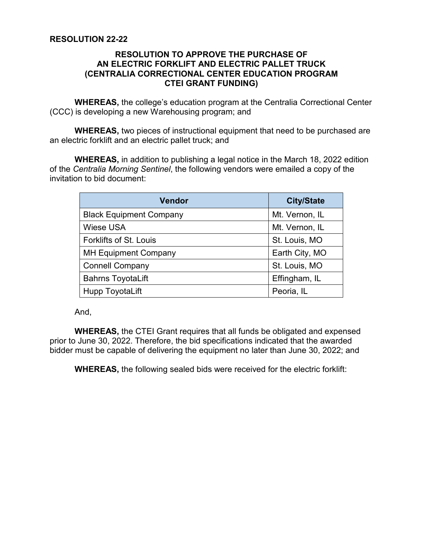## **RESOLUTION TO APPROVE THE PURCHASE OF AN ELECTRIC FORKLIFT AND ELECTRIC PALLET TRUCK (CENTRALIA CORRECTIONAL CENTER EDUCATION PROGRAM CTEI GRANT FUNDING)**

**WHEREAS,** the college's education program at the Centralia Correctional Center (CCC) is developing a new Warehousing program; and

**WHEREAS,** two pieces of instructional equipment that need to be purchased are an electric forklift and an electric pallet truck; and

**WHEREAS,** in addition to publishing a legal notice in the March 18, 2022 edition of the *Centralia Morning Sentinel*, the following vendors were emailed a copy of the invitation to bid document:

| <b>Vendor</b>                  | <b>City/State</b> |
|--------------------------------|-------------------|
| <b>Black Equipment Company</b> | Mt. Vernon, IL    |
| <b>Wiese USA</b>               | Mt. Vernon, IL    |
| <b>Forklifts of St. Louis</b>  | St. Louis, MO     |
| <b>MH Equipment Company</b>    | Earth City, MO    |
| <b>Connell Company</b>         | St. Louis, MO     |
| <b>Bahrns ToyotaLift</b>       | Effingham, IL     |
| <b>Hupp ToyotaLift</b>         | Peoria, IL        |

And,

**WHEREAS,** the CTEI Grant requires that all funds be obligated and expensed prior to June 30, 2022. Therefore, the bid specifications indicated that the awarded bidder must be capable of delivering the equipment no later than June 30, 2022; and

**WHEREAS,** the following sealed bids were received for the electric forklift: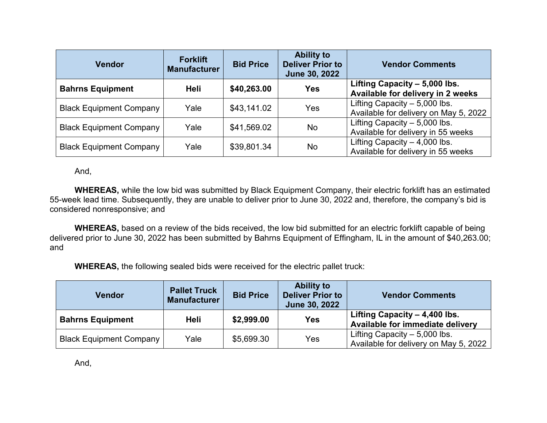| <b>Vendor</b>                  | <b>Forklift</b><br><b>Manufacturer</b> | <b>Bid Price</b> | <b>Ability to</b><br><b>Deliver Prior to</b><br>June 30, 2022 | <b>Vendor Comments</b>                                                  |
|--------------------------------|----------------------------------------|------------------|---------------------------------------------------------------|-------------------------------------------------------------------------|
| <b>Bahrns Equipment</b>        | Heli                                   | \$40,263.00      | <b>Yes</b>                                                    | Lifting Capacity - 5,000 lbs.<br>Available for delivery in 2 weeks      |
| <b>Black Equipment Company</b> | Yale                                   | \$43,141.02      | Yes                                                           | Lifting Capacity $-5,000$ lbs.<br>Available for delivery on May 5, 2022 |
| <b>Black Equipment Company</b> | Yale                                   | \$41,569.02      | <b>No</b>                                                     | Lifting Capacity $-5,000$ lbs.<br>Available for delivery in 55 weeks    |
| <b>Black Equipment Company</b> | Yale                                   | \$39,801.34      | No                                                            | Lifting Capacity $-4,000$ lbs.<br>Available for delivery in 55 weeks    |

And,

**WHEREAS,** while the low bid was submitted by Black Equipment Company, their electric forklift has an estimated 55-week lead time. Subsequently, they are unable to deliver prior to June 30, 2022 and, therefore, the company's bid is considered nonresponsive; and

**WHEREAS,** based on a review of the bids received, the low bid submitted for an electric forklift capable of being delivered prior to June 30, 2022 has been submitted by Bahrns Equipment of Effingham, IL in the amount of \$40,263.00; and

**WHEREAS,** the following sealed bids were received for the electric pallet truck:

| <b>Vendor</b>                  | <b>Pallet Truck</b><br><b>Manufacturer</b> | <b>Bid Price</b> | <b>Ability to</b><br><b>Deliver Prior to</b><br>June 30, 2022 | <b>Vendor Comments</b>                                                  |
|--------------------------------|--------------------------------------------|------------------|---------------------------------------------------------------|-------------------------------------------------------------------------|
| <b>Bahrns Equipment</b>        | Heli                                       | \$2,999.00       | <b>Yes</b>                                                    | Lifting Capacity - 4,400 lbs.<br>Available for immediate delivery       |
| <b>Black Equipment Company</b> | Yale                                       | \$5,699.30       | Yes                                                           | Lifting Capacity $-5,000$ lbs.<br>Available for delivery on May 5, 2022 |

And,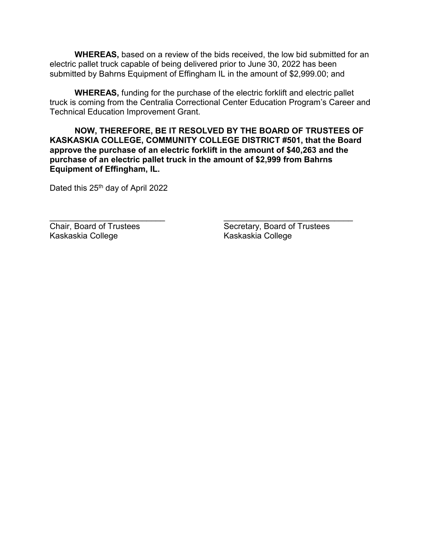**WHEREAS,** based on a review of the bids received, the low bid submitted for an electric pallet truck capable of being delivered prior to June 30, 2022 has been submitted by Bahrns Equipment of Effingham IL in the amount of \$2,999.00; and

**WHEREAS,** funding for the purchase of the electric forklift and electric pallet truck is coming from the Centralia Correctional Center Education Program's Career and Technical Education Improvement Grant.

**NOW, THEREFORE, BE IT RESOLVED BY THE BOARD OF TRUSTEES OF KASKASKIA COLLEGE, COMMUNITY COLLEGE DISTRICT #501, that the Board approve the purchase of an electric forklift in the amount of \$40,263 and the purchase of an electric pallet truck in the amount of \$2,999 from Bahrns Equipment of Effingham, IL.**

Dated this 25<sup>th</sup> day of April 2022

Kaskaskia College

\_\_\_\_\_\_\_\_\_\_\_\_\_\_\_\_\_\_\_\_\_\_\_\_\_ \_\_\_\_\_\_\_\_\_\_\_\_\_\_\_\_\_\_\_\_\_\_\_\_\_\_\_\_ Chair, Board of Trustees<br>
Kaskaskia College<br>
Kaskaskia College<br>
Kaskaskia College<br>
Kaskaskia College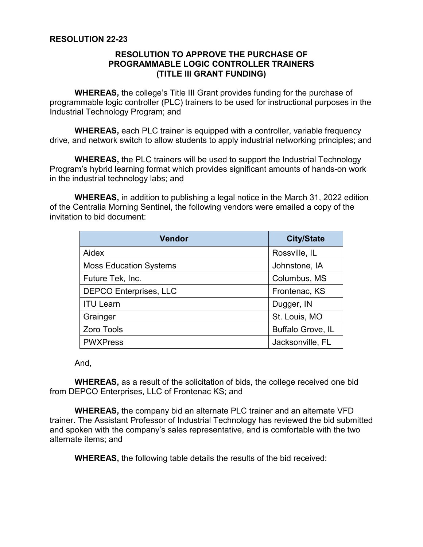## **RESOLUTION TO APPROVE THE PURCHASE OF PROGRAMMABLE LOGIC CONTROLLER TRAINERS (TITLE III GRANT FUNDING)**

**WHEREAS,** the college's Title III Grant provides funding for the purchase of programmable logic controller (PLC) trainers to be used for instructional purposes in the Industrial Technology Program; and

**WHEREAS,** each PLC trainer is equipped with a controller, variable frequency drive, and network switch to allow students to apply industrial networking principles; and

**WHEREAS,** the PLC trainers will be used to support the Industrial Technology Program's hybrid learning format which provides significant amounts of hands-on work in the industrial technology labs; and

**WHEREAS,** in addition to publishing a legal notice in the March 31, 2022 edition of the Centralia Morning Sentinel, the following vendors were emailed a copy of the invitation to bid document:

| <b>Vendor</b>                 | <b>City/State</b>        |
|-------------------------------|--------------------------|
| Aidex                         | Rossville, IL            |
| <b>Moss Education Systems</b> | Johnstone, IA            |
| Future Tek, Inc.              | Columbus, MS             |
| <b>DEPCO Enterprises, LLC</b> | Frontenac, KS            |
| <b>ITU Learn</b>              | Dugger, IN               |
| Grainger                      | St. Louis, MO            |
| Zoro Tools                    | <b>Buffalo Grove, IL</b> |
| <b>PWXPress</b>               | Jacksonville, FL         |

And,

**WHEREAS,** as a result of the solicitation of bids, the college received one bid from DEPCO Enterprises, LLC of Frontenac KS; and

**WHEREAS,** the company bid an alternate PLC trainer and an alternate VFD trainer. The Assistant Professor of Industrial Technology has reviewed the bid submitted and spoken with the company's sales representative, and is comfortable with the two alternate items; and

**WHEREAS,** the following table details the results of the bid received: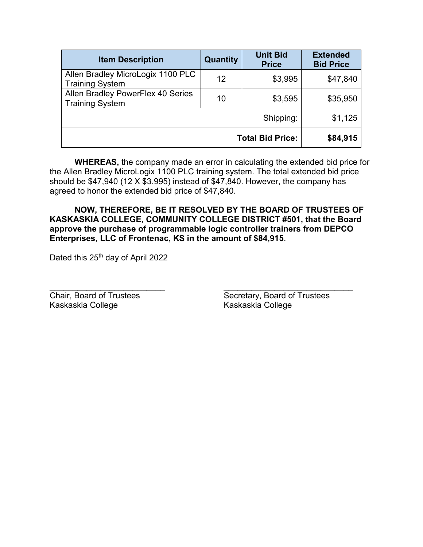| <b>Item Description</b>                                     | Quantity | <b>Unit Bid</b><br><b>Price</b> | <b>Extended</b><br><b>Bid Price</b> |
|-------------------------------------------------------------|----------|---------------------------------|-------------------------------------|
| Allen Bradley MicroLogix 1100 PLC<br><b>Training System</b> | 12       | \$3,995                         | \$47,840                            |
| Allen Bradley PowerFlex 40 Series<br><b>Training System</b> | 10       | \$3,595                         | \$35,950                            |
|                                                             |          | Shipping:                       | \$1,125                             |
|                                                             |          | <b>Total Bid Price:</b>         | \$84,915                            |

**WHEREAS,** the company made an error in calculating the extended bid price for the Allen Bradley MicroLogix 1100 PLC training system. The total extended bid price should be \$47,940 (12 X \$3.995) instead of \$47,840. However, the company has agreed to honor the extended bid price of \$47,840.

**NOW, THEREFORE, BE IT RESOLVED BY THE BOARD OF TRUSTEES OF KASKASKIA COLLEGE, COMMUNITY COLLEGE DISTRICT #501, that the Board approve the purchase of programmable logic controller trainers from DEPCO Enterprises, LLC of Frontenac, KS in the amount of \$84,915**.

Dated this 25<sup>th</sup> day of April 2022

Kaskaskia College Kaskaskia College

\_\_\_\_\_\_\_\_\_\_\_\_\_\_\_\_\_\_\_\_\_\_\_\_\_ \_\_\_\_\_\_\_\_\_\_\_\_\_\_\_\_\_\_\_\_\_\_\_\_\_\_\_\_ **Chair, Board of Trustees** Secretary, Board of Trustees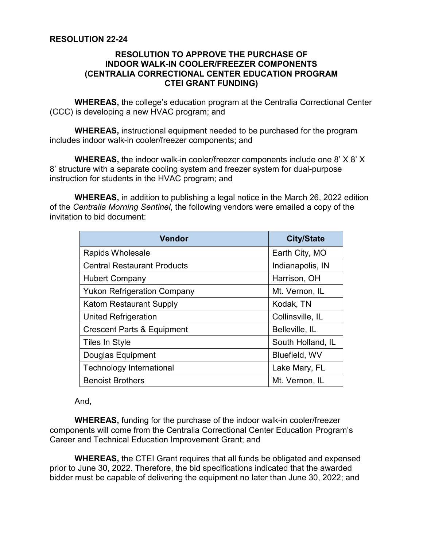## **RESOLUTION 22-24**

## **RESOLUTION TO APPROVE THE PURCHASE OF INDOOR WALK-IN COOLER/FREEZER COMPONENTS (CENTRALIA CORRECTIONAL CENTER EDUCATION PROGRAM CTEI GRANT FUNDING)**

**WHEREAS,** the college's education program at the Centralia Correctional Center (CCC) is developing a new HVAC program; and

**WHEREAS,** instructional equipment needed to be purchased for the program includes indoor walk-in cooler/freezer components; and

**WHEREAS,** the indoor walk-in cooler/freezer components include one 8' X 8' X 8' structure with a separate cooling system and freezer system for dual-purpose instruction for students in the HVAC program; and

**WHEREAS,** in addition to publishing a legal notice in the March 26, 2022 edition of the *Centralia Morning Sentinel*, the following vendors were emailed a copy of the invitation to bid document:

| <b>Vendor</b>                         | <b>City/State</b> |
|---------------------------------------|-------------------|
| <b>Rapids Wholesale</b>               | Earth City, MO    |
| <b>Central Restaurant Products</b>    | Indianapolis, IN  |
| <b>Hubert Company</b>                 | Harrison, OH      |
| <b>Yukon Refrigeration Company</b>    | Mt. Vernon, IL    |
| <b>Katom Restaurant Supply</b>        | Kodak, TN         |
| <b>United Refrigeration</b>           | Collinsville, IL  |
| <b>Crescent Parts &amp; Equipment</b> | Belleville, IL    |
| Tiles In Style                        | South Holland, IL |
| Douglas Equipment                     | Bluefield, WV     |
| <b>Technology International</b>       | Lake Mary, FL     |
| <b>Benoist Brothers</b>               | Mt. Vernon, IL    |

And,

**WHEREAS,** funding for the purchase of the indoor walk-in cooler/freezer components will come from the Centralia Correctional Center Education Program's Career and Technical Education Improvement Grant; and

**WHEREAS,** the CTEI Grant requires that all funds be obligated and expensed prior to June 30, 2022. Therefore, the bid specifications indicated that the awarded bidder must be capable of delivering the equipment no later than June 30, 2022; and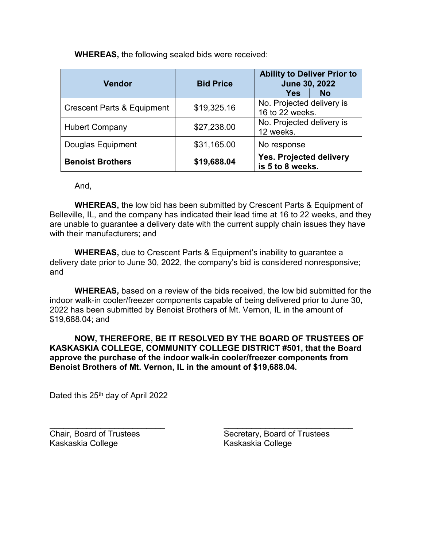**WHEREAS,** the following sealed bids were received:

| Vendor                                | <b>Bid Price</b> | <b>Ability to Deliver Prior to</b><br>June 30, 2022 |           |  |
|---------------------------------------|------------------|-----------------------------------------------------|-----------|--|
|                                       |                  | <b>Yes</b>                                          | <b>No</b> |  |
| <b>Crescent Parts &amp; Equipment</b> | \$19,325.16      | No. Projected delivery is<br>16 to 22 weeks.        |           |  |
| <b>Hubert Company</b>                 | \$27,238.00      | No. Projected delivery is<br>12 weeks.              |           |  |
| <b>Douglas Equipment</b>              | \$31,165.00      | No response                                         |           |  |
| <b>Benoist Brothers</b>               | \$19,688.04      | Yes. Projected delivery<br>is 5 to 8 weeks.         |           |  |

And,

**WHEREAS,** the low bid has been submitted by Crescent Parts & Equipment of Belleville, IL, and the company has indicated their lead time at 16 to 22 weeks, and they are unable to guarantee a delivery date with the current supply chain issues they have with their manufacturers; and

**WHEREAS,** due to Crescent Parts & Equipment's inability to guarantee a delivery date prior to June 30, 2022, the company's bid is considered nonresponsive; and

**WHEREAS,** based on a review of the bids received, the low bid submitted for the indoor walk-in cooler/freezer components capable of being delivered prior to June 30, 2022 has been submitted by Benoist Brothers of Mt. Vernon, IL in the amount of \$19,688.04; and

**NOW, THEREFORE, BE IT RESOLVED BY THE BOARD OF TRUSTEES OF KASKASKIA COLLEGE, COMMUNITY COLLEGE DISTRICT #501, that the Board approve the purchase of the indoor walk-in cooler/freezer components from Benoist Brothers of Mt. Vernon, IL in the amount of \$19,688.04.**

Dated this 25<sup>th</sup> day of April 2022

Kaskaskia College Kaskaskia College

\_\_\_\_\_\_\_\_\_\_\_\_\_\_\_\_\_\_\_\_\_\_\_\_\_ \_\_\_\_\_\_\_\_\_\_\_\_\_\_\_\_\_\_\_\_\_\_\_\_\_\_\_\_ Chair, Board of Trustees Secretary, Board of Trustees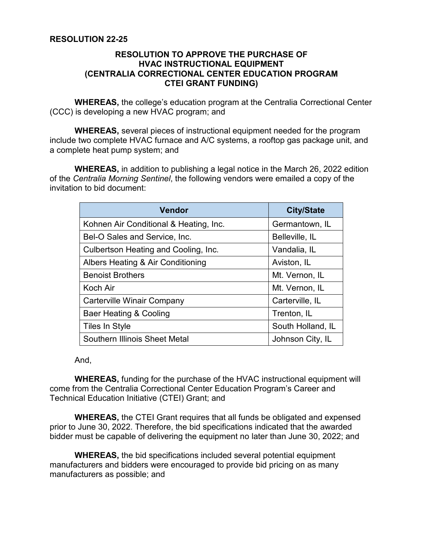## **RESOLUTION 22-25**

## **RESOLUTION TO APPROVE THE PURCHASE OF HVAC INSTRUCTIONAL EQUIPMENT (CENTRALIA CORRECTIONAL CENTER EDUCATION PROGRAM CTEI GRANT FUNDING)**

**WHEREAS,** the college's education program at the Centralia Correctional Center (CCC) is developing a new HVAC program; and

**WHEREAS,** several pieces of instructional equipment needed for the program include two complete HVAC furnace and A/C systems, a rooftop gas package unit, and a complete heat pump system; and

**WHEREAS,** in addition to publishing a legal notice in the March 26, 2022 edition of the *Centralia Morning Sentinel*, the following vendors were emailed a copy of the invitation to bid document:

| <b>Vendor</b>                          | <b>City/State</b> |
|----------------------------------------|-------------------|
| Kohnen Air Conditional & Heating, Inc. | Germantown, IL    |
| Bel-O Sales and Service, Inc.          | Belleville, IL    |
| Culbertson Heating and Cooling, Inc.   | Vandalia, IL      |
| Albers Heating & Air Conditioning      | Aviston, IL       |
| <b>Benoist Brothers</b>                | Mt. Vernon, IL    |
| Koch Air                               | Mt. Vernon, IL    |
| <b>Carterville Winair Company</b>      | Carterville, IL   |
| Baer Heating & Cooling                 | Trenton, IL       |
| <b>Tiles In Style</b>                  | South Holland, IL |
| Southern Illinois Sheet Metal          | Johnson City, IL  |

And,

**WHEREAS,** funding for the purchase of the HVAC instructional equipment will come from the Centralia Correctional Center Education Program's Career and Technical Education Initiative (CTEI) Grant; and

**WHEREAS,** the CTEI Grant requires that all funds be obligated and expensed prior to June 30, 2022. Therefore, the bid specifications indicated that the awarded bidder must be capable of delivering the equipment no later than June 30, 2022; and

**WHEREAS,** the bid specifications included several potential equipment manufacturers and bidders were encouraged to provide bid pricing on as many manufacturers as possible; and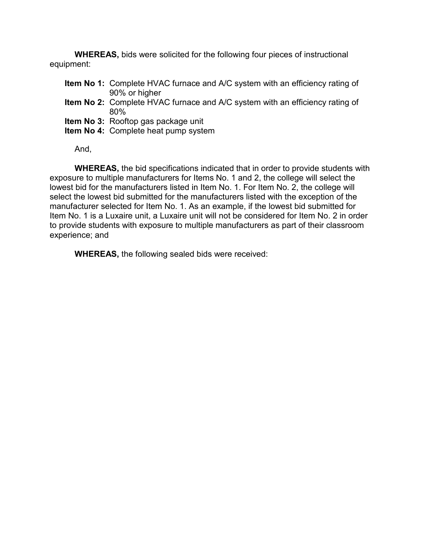**WHEREAS,** bids were solicited for the following four pieces of instructional equipment:

- **Item No 1:** Complete HVAC furnace and A/C system with an efficiency rating of 90% or higher
- **Item No 2:** Complete HVAC furnace and A/C system with an efficiency rating of 80%
- **Item No 3:** Rooftop gas package unit
- **Item No 4:** Complete heat pump system

And,

**WHEREAS,** the bid specifications indicated that in order to provide students with exposure to multiple manufacturers for Items No. 1 and 2, the college will select the lowest bid for the manufacturers listed in Item No. 1. For Item No. 2, the college will select the lowest bid submitted for the manufacturers listed with the exception of the manufacturer selected for Item No. 1. As an example, if the lowest bid submitted for Item No. 1 is a Luxaire unit, a Luxaire unit will not be considered for Item No. 2 in order to provide students with exposure to multiple manufacturers as part of their classroom experience; and

**WHEREAS,** the following sealed bids were received: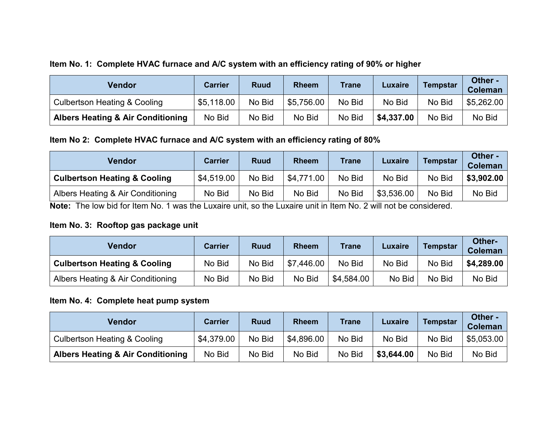# **Item No. 1: Complete HVAC furnace and A/C system with an efficiency rating of 90% or higher**

| <b>Vendor</b>                                | <b>Carrier</b> | <b>Ruud</b> | <b>Rheem</b> | <b>Trane</b> | <b>Luxaire</b> | <b>Tempstar</b> | Other -<br><b>Coleman</b> |
|----------------------------------------------|----------------|-------------|--------------|--------------|----------------|-----------------|---------------------------|
| <b>Culbertson Heating &amp; Cooling</b>      | \$5,118.00     | No Bid      | \$5,756.00   | No Bid       | No Bid         | No Bid          | \$5,262.00                |
| <b>Albers Heating &amp; Air Conditioning</b> | No Bid         | No Bid      | No Bid       | No Bid       | \$4,337.00     | No Bid          | No Bid                    |

# **Item No 2: Complete HVAC furnace and A/C system with an efficiency rating of 80%**

| <b>Vendor</b>                           | <b>Carrier</b> | <b>Ruud</b> | <b>Rheem</b> | <b>Trane</b> | <b>Luxaire</b> | <b>Tempstar</b> | Other -<br><b>Coleman</b> |
|-----------------------------------------|----------------|-------------|--------------|--------------|----------------|-----------------|---------------------------|
| <b>Culbertson Heating &amp; Cooling</b> | \$4.519.00     | No Bid      | \$4,771.00   | No Bid       | No Bid         | No Bid          | \$3,902.00                |
| Albers Heating & Air Conditioning       | No Bid         | No Bid      | No Bid       | No Bid       | \$3,536.00     | No Bid          | No Bid                    |

**Note:** The low bid for Item No. 1 was the Luxaire unit, so the Luxaire unit in Item No. 2 will not be considered.

# **Item No. 3: Rooftop gas package unit**

| Vendor                                  | <b>Carrier</b> | <b>Ruud</b> | <b>Rheem</b> | <b>Trane</b> | <b>Luxaire</b> | <b>Tempstar</b> | Other-<br><b>Coleman</b> |
|-----------------------------------------|----------------|-------------|--------------|--------------|----------------|-----------------|--------------------------|
| <b>Culbertson Heating &amp; Cooling</b> | No Bid         | No Bid      | \$7,446.00   | No Bid       | No Bid         | No Bid          | \$4,289.00               |
| Albers Heating & Air Conditioning       | No Bid         | No Bid      | No Bid       | \$4,584.00   | No Bid         | No Bid          | No Bid                   |

# **Item No. 4: Complete heat pump system**

| <b>Vendor</b>                                | <b>Carrier</b> | <b>Ruud</b> | <b>Rheem</b> | <b>Trane</b> | <b>Luxaire</b> | <b>Tempstar</b> | Other -<br><b>Coleman</b> |
|----------------------------------------------|----------------|-------------|--------------|--------------|----------------|-----------------|---------------------------|
| <b>Culbertson Heating &amp; Cooling</b>      | \$4,379.00     | No Bid      | \$4,896.00   | No Bid       | No Bid         | No Bid          | \$5,053.00                |
| <b>Albers Heating &amp; Air Conditioning</b> | No Bid         | No Bid      | No Bid       | No Bid       | \$3,644.00     | No Bid          | No Bid                    |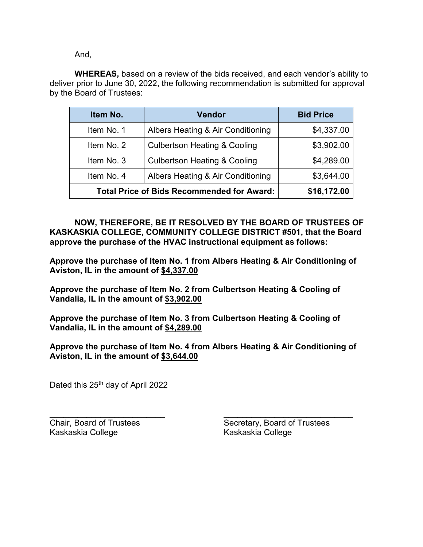And,

**WHEREAS,** based on a review of the bids received, and each vendor's ability to deliver prior to June 30, 2022, the following recommendation is submitted for approval by the Board of Trustees:

| Item No.                                          | <b>Vendor</b>                           | <b>Bid Price</b> |
|---------------------------------------------------|-----------------------------------------|------------------|
| Item No. 1                                        | Albers Heating & Air Conditioning       | \$4,337.00       |
| Item No. 2                                        | <b>Culbertson Heating &amp; Cooling</b> | \$3,902.00       |
| Item No. 3                                        | <b>Culbertson Heating &amp; Cooling</b> | \$4,289.00       |
| Item No. 4                                        | Albers Heating & Air Conditioning       | \$3,644.00       |
| <b>Total Price of Bids Recommended for Award:</b> | \$16,172.00                             |                  |

**NOW, THEREFORE, BE IT RESOLVED BY THE BOARD OF TRUSTEES OF KASKASKIA COLLEGE, COMMUNITY COLLEGE DISTRICT #501, that the Board approve the purchase of the HVAC instructional equipment as follows:**

**Approve the purchase of Item No. 1 from Albers Heating & Air Conditioning of Aviston, IL in the amount of \$4,337.00**

**Approve the purchase of Item No. 2 from Culbertson Heating & Cooling of Vandalia, IL in the amount of \$3,902.00**

**Approve the purchase of Item No. 3 from Culbertson Heating & Cooling of Vandalia, IL in the amount of \$4,289.00**

**Approve the purchase of Item No. 4 from Albers Heating & Air Conditioning of Aviston, IL in the amount of \$3,644.00**

Dated this 25<sup>th</sup> day of April 2022

\_\_\_\_\_\_\_\_\_\_\_\_\_\_\_\_\_\_\_\_\_\_\_\_\_ \_\_\_\_\_\_\_\_\_\_\_\_\_\_\_\_\_\_\_\_\_\_\_\_\_\_\_\_ Kaskaskia College Kaskaskia College

Chair, Board of Trustees Secretary, Board of Trustees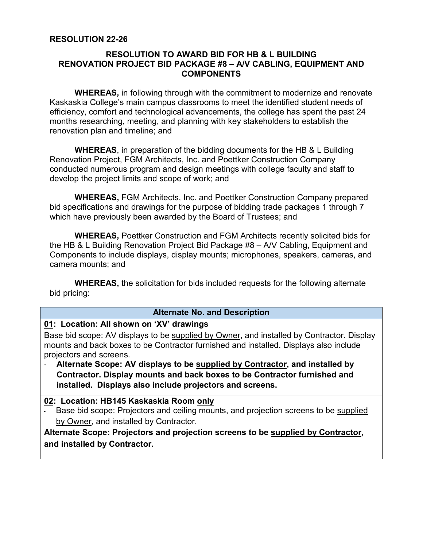## **RESOLUTION 22-26**

## **RESOLUTION TO AWARD BID FOR HB & L BUILDING RENOVATION PROJECT BID PACKAGE #8 – A/V CABLING, EQUIPMENT AND COMPONENTS**

**WHEREAS,** in following through with the commitment to modernize and renovate Kaskaskia College's main campus classrooms to meet the identified student needs of efficiency, comfort and technological advancements, the college has spent the past 24 months researching, meeting, and planning with key stakeholders to establish the renovation plan and timeline; and

**WHEREAS**, in preparation of the bidding documents for the HB & L Building Renovation Project, FGM Architects, Inc. and Poettker Construction Company conducted numerous program and design meetings with college faculty and staff to develop the project limits and scope of work; and

 **WHEREAS,** FGM Architects, Inc. and Poettker Construction Company prepared bid specifications and drawings for the purpose of bidding trade packages 1 through 7 which have previously been awarded by the Board of Trustees; and

**WHEREAS,** Poettker Construction and FGM Architects recently solicited bids for the HB & L Building Renovation Project Bid Package #8 – A/V Cabling, Equipment and Components to include displays, display mounts; microphones, speakers, cameras, and camera mounts; and

**WHEREAS,** the solicitation for bids included requests for the following alternate bid pricing:

#### **Alternate No. and Description**

# **01: Location: All shown on 'XV' drawings**

Base bid scope: AV displays to be supplied by Owner, and installed by Contractor. Display mounts and back boxes to be Contractor furnished and installed. Displays also include projectors and screens.

- **Alternate Scope: AV displays to be supplied by Contractor, and installed by Contractor. Display mounts and back boxes to be Contractor furnished and installed. Displays also include projectors and screens.**

## **02: Location: HB145 Kaskaskia Room only**

Base bid scope: Projectors and ceiling mounts, and projection screens to be supplied by Owner, and installed by Contractor.

**Alternate Scope: Projectors and projection screens to be supplied by Contractor, and installed by Contractor.**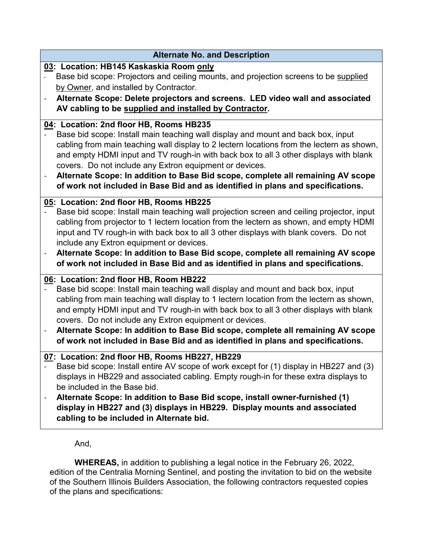| <b>Alternate No. and Description</b>                                                                                                                                                                                                                                                                                                                                                                                                                                                                                                                                           |
|--------------------------------------------------------------------------------------------------------------------------------------------------------------------------------------------------------------------------------------------------------------------------------------------------------------------------------------------------------------------------------------------------------------------------------------------------------------------------------------------------------------------------------------------------------------------------------|
| 03: Location: HB145 Kaskaskia Room only<br>Base bid scope: Projectors and ceiling mounts, and projection screens to be supplied<br>by Owner, and installed by Contractor.<br>Alternate Scope: Delete projectors and screens. LED video wall and associated<br>$\blacksquare$<br>AV cabling to be supplied and installed by Contractor.                                                                                                                                                                                                                                         |
| 04: Location: 2nd floor HB, Rooms HB235<br>Base bid scope: Install main teaching wall display and mount and back box, input<br>cabling from main teaching wall display to 2 lectern locations from the lectern as shown,<br>and empty HDMI input and TV rough-in with back box to all 3 other displays with blank<br>covers. Do not include any Extron equipment or devices.<br>Alternate Scope: In addition to Base Bid scope, complete all remaining AV scope<br>$\overline{\phantom{0}}$<br>of work not included in Base Bid and as identified in plans and specifications. |
| 05: Location: 2nd floor HB, Rooms HB225<br>Base bid scope: Install main teaching wall projection screen and ceiling projector, input<br>cabling from projector to 1 lectern location from the lectern as shown, and empty HDMI<br>input and TV rough-in with back box to all 3 other displays with blank covers. Do not<br>include any Extron equipment or devices.<br>Alternate Scope: In addition to Base Bid scope, complete all remaining AV scope<br>of work not included in Base Bid and as identified in plans and specifications.                                      |
| 06: Location: 2nd floor HB, Room HB222<br>Base bid scope: Install main teaching wall display and mount and back box, input<br>cabling from main teaching wall display to 1 lectern location from the lectern as shown,<br>and empty HDMI input and TV rough-in with back box to all 3 other displays with blank<br>covers. Do not include any Extron equipment or devices.<br>Alternate Scope: In addition to Base Bid scope, complete all remaining AV scope<br>$\overline{\phantom{a}}$<br>of work not included in Base Bid and as identified in plans and specifications.   |
| 07: Location: 2nd floor HB, Rooms HB227, HB229<br>Base bid scope: Install entire AV scope of work except for (1) display in HB227 and (3)<br>displays in HB229 and associated cabling. Empty rough-in for these extra displays to<br>be included in the Base bid.<br>Alternate Scope: In addition to Base Bid scope, install owner-furnished (1)<br>display in HB227 and (3) displays in HB229. Display mounts and associated<br>cabling to be included in Alternate bid.                                                                                                      |
| And,                                                                                                                                                                                                                                                                                                                                                                                                                                                                                                                                                                           |

**WHEREAS,** in addition to publishing a legal notice in the February 26, 2022, edition of the Centralia Morning Sentinel, and posting the invitation to bid on the website of the Southern Illinois Builders Association, the following contractors requested copies of the plans and specifications: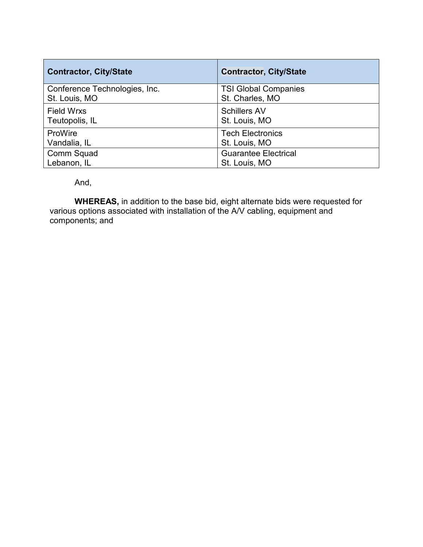| <b>Contractor, City/State</b> | <b>Contractor, City/State</b> |
|-------------------------------|-------------------------------|
| Conference Technologies, Inc. | <b>TSI Global Companies</b>   |
| St. Louis, MO                 | St. Charles, MO               |
| <b>Field Wrxs</b>             | <b>Schillers AV</b>           |
| Teutopolis, IL                | St. Louis, MO                 |
| ProWire                       | <b>Tech Electronics</b>       |
| Vandalia, IL                  | St. Louis, MO                 |
| Comm Squad                    | <b>Guarantee Electrical</b>   |
| Lebanon, IL                   | St. Louis, MO                 |

And,

**WHEREAS,** in addition to the base bid, eight alternate bids were requested for various options associated with installation of the A/V cabling, equipment and components; and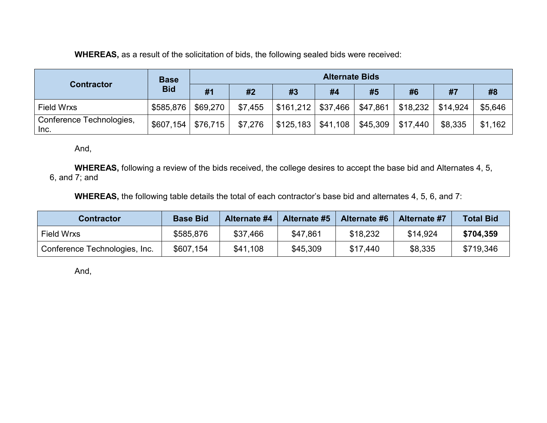**WHEREAS,** as a result of the solicitation of bids, the following sealed bids were received:

| <b>Contractor</b>                | <b>Base</b> | <b>Alternate Bids</b> |         |                         |          |          |          |          |         |
|----------------------------------|-------------|-----------------------|---------|-------------------------|----------|----------|----------|----------|---------|
|                                  | <b>Bid</b>  | #1                    | #2      | #3                      | #4       | #5       | #6       | #7       | #8      |
| <b>Field Wrxs</b>                | \$585,876   | \$69,270              | \$7,455 | \$161,212               | \$37,466 | \$47,861 | \$18,232 | \$14.924 | \$5,646 |
| Conference Technologies,<br>Inc. | \$607,154   | \$76,715              | \$7,276 | $$125,183 \mid $41,108$ |          | \$45,309 | \$17,440 | \$8,335  | \$1,162 |

And,

**WHEREAS,** following a review of the bids received, the college desires to accept the base bid and Alternates 4, 5, 6, and 7; and

**WHEREAS,** the following table details the total of each contractor's base bid and alternates 4, 5, 6, and 7:

| <b>Contractor</b>             | <b>Base Bid</b> | <b>Alternate #4</b> | Alternate #5 | <b>Alternate #6</b> | <b>Alternate #7</b> | <b>Total Bid</b> |
|-------------------------------|-----------------|---------------------|--------------|---------------------|---------------------|------------------|
| Field Wrxs                    | \$585,876       | \$37,466            | \$47,861     | \$18,232            | \$14,924            | \$704,359        |
| Conference Technologies, Inc. | \$607,154       | \$41,108            | \$45,309     | \$17,440            | \$8,335             | \$719,346        |

And,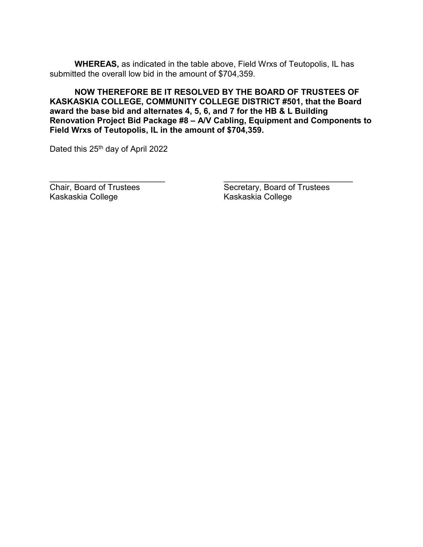**WHEREAS,** as indicated in the table above, Field Wrxs of Teutopolis, IL has submitted the overall low bid in the amount of \$704,359.

**NOW THEREFORE BE IT RESOLVED BY THE BOARD OF TRUSTEES OF KASKASKIA COLLEGE, COMMUNITY COLLEGE DISTRICT #501, that the Board award the base bid and alternates 4, 5, 6, and 7 for the HB & L Building Renovation Project Bid Package #8 – A/V Cabling, Equipment and Components to Field Wrxs of Teutopolis, IL in the amount of \$704,359.**

\_\_\_\_\_\_\_\_\_\_\_\_\_\_\_\_\_\_\_\_\_\_\_\_\_ \_\_\_\_\_\_\_\_\_\_\_\_\_\_\_\_\_\_\_\_\_\_\_\_\_\_\_\_

Dated this 25<sup>th</sup> day of April 2022

Kaskaskia College

Chair, Board of Trustees<br>
Kaskaskia College<br>
Kaskaskia College<br>
Kaskaskia College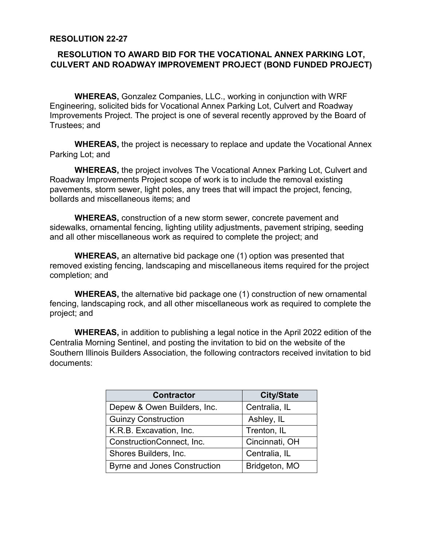## **RESOLUTION 22-27**

# **RESOLUTION TO AWARD BID FOR THE VOCATIONAL ANNEX PARKING LOT, CULVERT AND ROADWAY IMPROVEMENT PROJECT (BOND FUNDED PROJECT)**

**WHEREAS,** Gonzalez Companies, LLC., working in conjunction with WRF Engineering, solicited bids for Vocational Annex Parking Lot, Culvert and Roadway Improvements Project. The project is one of several recently approved by the Board of Trustees; and

**WHEREAS,** the project is necessary to replace and update the Vocational Annex Parking Lot; and

**WHEREAS,** the project involves The Vocational Annex Parking Lot, Culvert and Roadway Improvements Project scope of work is to include the removal existing pavements, storm sewer, light poles, any trees that will impact the project, fencing, bollards and miscellaneous items; and

**WHEREAS,** construction of a new storm sewer, concrete pavement and sidewalks, ornamental fencing, lighting utility adjustments, pavement striping, seeding and all other miscellaneous work as required to complete the project; and

**WHEREAS,** an alternative bid package one (1) option was presented that removed existing fencing, landscaping and miscellaneous items required for the project completion; and

**WHEREAS,** the alternative bid package one (1) construction of new ornamental fencing, landscaping rock, and all other miscellaneous work as required to complete the project; and

**WHEREAS,** in addition to publishing a legal notice in the April 2022 edition of the Centralia Morning Sentinel, and posting the invitation to bid on the website of the Southern Illinois Builders Association, the following contractors received invitation to bid documents:

| <b>Contractor</b>                   | <b>City/State</b> |
|-------------------------------------|-------------------|
| Depew & Owen Builders, Inc.         | Centralia, IL     |
| <b>Guinzy Construction</b>          | Ashley, IL        |
| K.R.B. Excavation, Inc.             | Trenton, IL       |
| ConstructionConnect, Inc.           | Cincinnati, OH    |
| Shores Builders, Inc.               | Centralia, IL     |
| <b>Byrne and Jones Construction</b> | Bridgeton, MO     |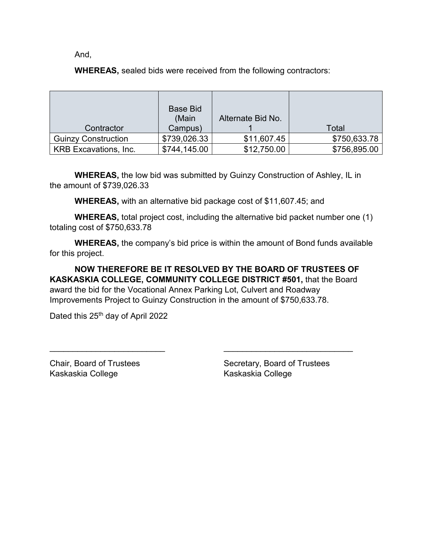And,

**WHEREAS,** sealed bids were received from the following contractors:

|                              | <b>Base Bid</b><br>(Main | Alternate Bid No. |              |
|------------------------------|--------------------------|-------------------|--------------|
| Contractor                   | Campus)                  |                   | Total        |
| <b>Guinzy Construction</b>   | \$739,026.33             | \$11,607.45       | \$750,633.78 |
| <b>KRB Excavations, Inc.</b> | \$744,145.00             | \$12,750.00       | \$756,895.00 |

**WHEREAS,** the low bid was submitted by Guinzy Construction of Ashley, IL in the amount of \$739,026.33

**WHEREAS,** with an alternative bid package cost of \$11,607.45; and

**WHEREAS,** total project cost, including the alternative bid packet number one (1) totaling cost of \$750,633.78

**WHEREAS,** the company's bid price is within the amount of Bond funds available for this project.

**NOW THEREFORE BE IT RESOLVED BY THE BOARD OF TRUSTEES OF KASKASKIA COLLEGE, COMMUNITY COLLEGE DISTRICT #501,** that the Board award the bid for the Vocational Annex Parking Lot, Culvert and Roadway Improvements Project to Guinzy Construction in the amount of \$750,633.78.

\_\_\_\_\_\_\_\_\_\_\_\_\_\_\_\_\_\_\_\_\_\_\_\_\_ \_\_\_\_\_\_\_\_\_\_\_\_\_\_\_\_\_\_\_\_\_\_\_\_\_\_\_\_

Dated this 25<sup>th</sup> day of April 2022

Kaskaskia College Kaskaskia College

Chair, Board of Trustees Secretary, Board of Trustees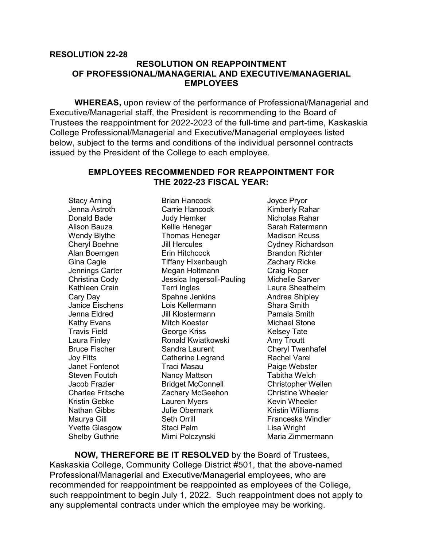## **RESOLUTION 22-28 RESOLUTION ON REAPPOINTMENT OF PROFESSIONAL/MANAGERIAL AND EXECUTIVE/MANAGERIAL EMPLOYEES**

**WHEREAS,** upon review of the performance of Professional/Managerial and Executive/Managerial staff, the President is recommending to the Board of Trustees the reappointment for 2022-2023 of the full-time and part-time, Kaskaskia College Professional/Managerial and Executive/Managerial employees listed below, subject to the terms and conditions of the individual personnel contracts issued by the President of the College to each employee.

#### **EMPLOYEES RECOMMENDED FOR REAPPOINTMENT FOR THE 2022-23 FISCAL YEAR:**

Stacy Arning **Brian Hancock Joyce Pryor** 

Jenna Astroth **Carrie Hancock** Kimberly Rahar Donald Bade **Judy Hemker** Nicholas Rahar Alison Bauza Kellie Henegar Sarah Ratermann Wendy Blythe **Thomas Henegar** Madison Reuss Cheryl Boehne Jill Hercules Cydney Richardson Alan Boerngen Erin Hitchcock Brandon Richter Gina Cagle Tiffany Hixenbaugh Zachary Ricke Megan Holtmann Christina Cody Jessica Ingersoll-Pauling Michelle Sarver Kathleen Crain **Terri Ingles** Communist Caura Sheathelm Cary Day **Spahne Jenkins** Andrea Shipley Janice Eischens Lois Kellermann Shara Smith Jenna Eldred Jill Klostermann Pamala Smith Kathy Evans Mitch Koester Michael Stone George Kriss **Fig. 2018** Kelsey Tate Laura Finley **Ronald Kwiatkowski** Amy Troutt Bruce Fischer Sandra Laurent Cheryl Twenhafel Joy Fitts Catherine Legrand Rachel Varel Janet Fontenot Traci Masau Paige Webster Steven Foutch Nancy Mattson Tabitha Welch Jacob Frazier Bridget McConnell Christopher Wellen Zachary McGeehon Kristin Gebke **Lauren Myers** Kevin Wheeler Nathan Gibbs **In The Obermark** Charlotter Mulliams **Nathan** Books Maurya Gill Seth Orrill Franceska Windler Yvette Glasgow Staci Palm Contact Lisa Wright Shelby Guthrie **Mimi Polczynski** Maria Zimmermann

**NOW, THEREFORE BE IT RESOLVED** by the Board of Trustees, Kaskaskia College, Community College District #501, that the above-named Professional/Managerial and Executive/Managerial employees, who are recommended for reappointment be reappointed as employees of the College, such reappointment to begin July 1, 2022. Such reappointment does not apply to any supplemental contracts under which the employee may be working.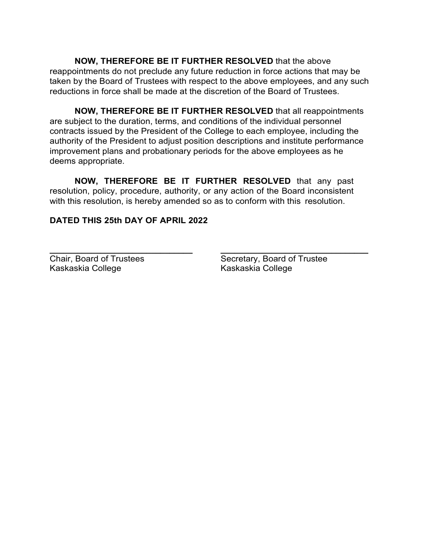**NOW, THEREFORE BE IT FURTHER RESOLVED** that the above reappointments do not preclude any future reduction in force actions that may be taken by the Board of Trustees with respect to the above employees, and any such reductions in force shall be made at the discretion of the Board of Trustees.

**NOW, THEREFORE BE IT FURTHER RESOLVED** that all reappointments are subject to the duration, terms, and conditions of the individual personnel contracts issued by the President of the College to each employee, including the authority of the President to adjust position descriptions and institute performance improvement plans and probationary periods for the above employees as he deems appropriate.

**NOW, THEREFORE BE IT FURTHER RESOLVED** that any past resolution, policy, procedure, authority, or any action of the Board inconsistent with this resolution, is hereby amended so as to conform with this resolution.

## **DATED THIS 25th DAY OF APRIL 2022**

Kaskaskia College Kaskaskia College

**\_\_\_\_\_\_\_\_\_\_\_\_\_\_\_\_\_\_\_\_\_\_\_\_\_\_\_\_\_\_\_ \_\_\_\_\_\_\_\_\_\_\_\_\_\_\_\_\_\_\_\_\_\_\_\_\_\_\_\_\_\_\_\_** Chair, Board of Trustees Secretary, Board of Trustee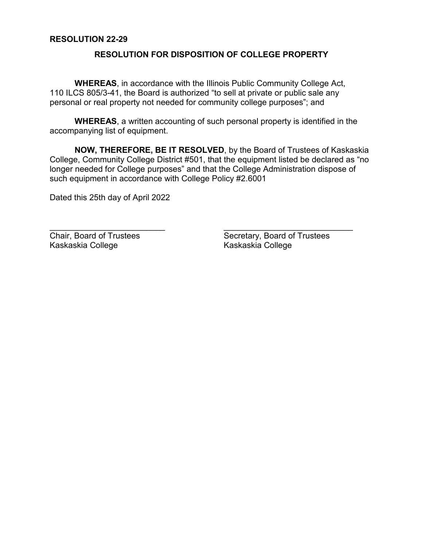## **RESOLUTION 22-29**

#### **RESOLUTION FOR DISPOSITION OF COLLEGE PROPERTY**

**WHEREAS**, in accordance with the Illinois Public Community College Act, 110 ILCS 805/3-41, the Board is authorized "to sell at private or public sale any personal or real property not needed for community college purposes"; and

**WHEREAS**, a written accounting of such personal property is identified in the accompanying list of equipment.

**NOW, THEREFORE, BE IT RESOLVED**, by the Board of Trustees of Kaskaskia College, Community College District #501, that the equipment listed be declared as "no longer needed for College purposes" and that the College Administration dispose of such equipment in accordance with College Policy #2.6001

\_\_\_\_\_\_\_\_\_\_\_\_\_\_\_\_\_\_\_\_\_\_\_\_\_ \_\_\_\_\_\_\_\_\_\_\_\_\_\_\_\_\_\_\_\_\_\_\_\_\_\_\_\_

Dated this 25th day of April 2022

Kaskaskia College Kaskaskia College

Chair, Board of Trustees Secretary, Board of Trustees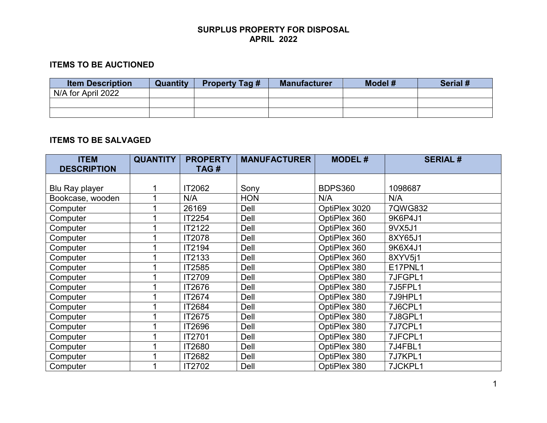# **ITEMS TO BE AUCTIONED**

| <b>Item Description</b> | <b>Quantity</b> | <b>Property Tag #</b> | <b>Manufacturer</b> | Model # | Serial # |
|-------------------------|-----------------|-----------------------|---------------------|---------|----------|
| N/A for April 2022      |                 |                       |                     |         |          |
|                         |                 |                       |                     |         |          |
|                         |                 |                       |                     |         |          |

## **ITEMS TO BE SALVAGED**

| <b>ITEM</b>        | <b>QUANTITY</b> | <b>PROPERTY</b> | <b>MANUFACTURER</b> | <b>MODEL#</b>  | <b>SERIAL#</b> |
|--------------------|-----------------|-----------------|---------------------|----------------|----------------|
| <b>DESCRIPTION</b> |                 | TAG#            |                     |                |                |
|                    |                 |                 |                     |                |                |
| Blu Ray player     |                 | IT2062          | Sony                | <b>BDPS360</b> | 1098687        |
| Bookcase, wooden   |                 | N/A             | <b>HON</b>          | N/A            | N/A            |
| Computer           |                 | 26169           | Dell                | OptiPlex 3020  | 7QWG832        |
| Computer           |                 | IT2254          | Dell                | OptiPlex 360   | 9K6P4J1        |
| Computer           |                 | IT2122          | Dell                | OptiPlex 360   | 9VX5J1         |
| Computer           |                 | IT2078          | Dell                | OptiPlex 360   | 8XY65J1        |
| Computer           |                 | IT2194          | Dell                | OptiPlex 360   | 9K6X4J1        |
| Computer           |                 | IT2133          | Dell                | OptiPlex 360   | 8XYV5i1        |
| Computer           |                 | IT2585          | Dell                | OptiPlex 380   | E17PNL1        |
| Computer           |                 | IT2709          | Dell                | OptiPlex 380   | 7JFGPL1        |
| Computer           |                 | IT2676          | Dell                | OptiPlex 380   | 7J5FPL1        |
| Computer           |                 | IT2674          | Dell                | OptiPlex 380   | 7J9HPL1        |
| Computer           |                 | IT2684          | Dell                | OptiPlex 380   | 7J6CPL1        |
| Computer           |                 | IT2675          | Dell                | OptiPlex 380   | 7J8GPL1        |
| Computer           |                 | IT2696          | Dell                | OptiPlex 380   | 7J7CPL1        |
| Computer           |                 | IT2701          | Dell                | OptiPlex 380   | 7JFCPL1        |
| Computer           |                 | IT2680          | Dell                | OptiPlex 380   | 7J4FBL1        |
| Computer           |                 | IT2682          | Dell                | OptiPlex 380   | 7J7KPL1        |
| Computer           |                 | IT2702          | Dell                | OptiPlex 380   | 7JCKPL1        |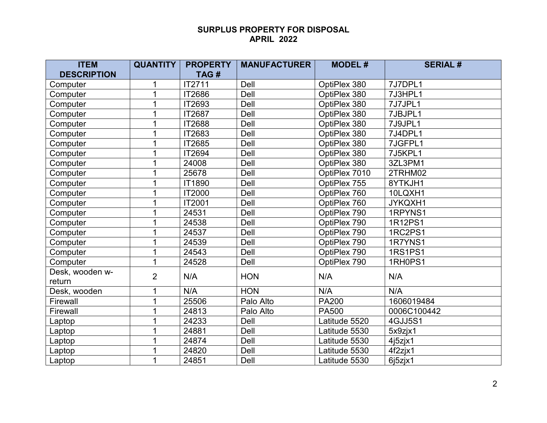| <b>ITEM</b>        | <b>QUANTITY</b> | <b>PROPERTY</b> | <b>MANUFACTURER</b> | <b>MODEL#</b> | <b>SERIAL#</b> |
|--------------------|-----------------|-----------------|---------------------|---------------|----------------|
| <b>DESCRIPTION</b> |                 | TAG#            |                     |               |                |
| Computer           |                 | IT2711          | Dell                | OptiPlex 380  | 7J7DPL1        |
| Computer           |                 | IT2686          | Dell                | OptiPlex 380  | 7J3HPL1        |
| Computer           |                 | IT2693          | Dell                | OptiPlex 380  | 7J7JPL1        |
| Computer           |                 | IT2687          | Dell                | OptiPlex 380  | 7JBJPL1        |
| Computer           |                 | IT2688          | Dell                | OptiPlex 380  | 7J9JPL1        |
| Computer           |                 | IT2683          | Dell                | OptiPlex 380  | 7J4DPL1        |
| Computer           |                 | IT2685          | Dell                | OptiPlex 380  | 7JGFPL1        |
| Computer           |                 | IT2694          | Dell                | OptiPlex 380  | 7J5KPL1        |
| Computer           |                 | 24008           | Dell                | OptiPlex 380  | 3ZL3PM1        |
| Computer           |                 | 25678           | Dell                | OptiPlex 7010 | 2TRHM02        |
| Computer           |                 | IT1890          | Dell                | OptiPlex 755  | 8YTKJH1        |
| Computer           |                 | IT2000          | Dell                | OptiPlex 760  | 10LQXH1        |
| Computer           |                 | IT2001          | Dell                | OptiPlex 760  | JYKQXH1        |
| Computer           |                 | 24531           | Dell                | OptiPlex 790  | 1RPYNS1        |
| Computer           |                 | 24538           | Dell                | OptiPlex 790  | 1R12PS1        |
| Computer           |                 | 24537           | Dell                | OptiPlex 790  | 1RC2PS1        |
| Computer           |                 | 24539           | Dell                | OptiPlex 790  | 1R7YNS1        |
| Computer           |                 | 24543           | Dell                | OptiPlex 790  | <b>1RS1PS1</b> |
| Computer           |                 | 24528           | Dell                | OptiPlex 790  | 1RH0PS1        |
| Desk, wooden w-    | $\overline{2}$  | N/A             | <b>HON</b>          | N/A           | N/A            |
| return             |                 |                 |                     |               |                |
| Desk, wooden       | 1               | N/A             | <b>HON</b>          | N/A           | N/A            |
| Firewall           |                 | 25506           | Palo Alto           | <b>PA200</b>  | 1606019484     |
| Firewall           |                 | 24813           | Palo Alto           | <b>PA500</b>  | 0006C100442    |
| Laptop             |                 | 24233           | Dell                | Latitude 5520 | 4GJJ5S1        |
| Laptop             |                 | 24881           | Dell                | Latitude 5530 | 5x9zjx1        |
| Laptop             |                 | 24874           | Dell                | Latitude 5530 | 4j5zjx1        |
| Laptop             |                 | 24820           | Dell                | Latitude 5530 | 4f2zjx1        |
| Laptop             |                 | 24851           | Dell                | Latitude 5530 | 6j5zjx1        |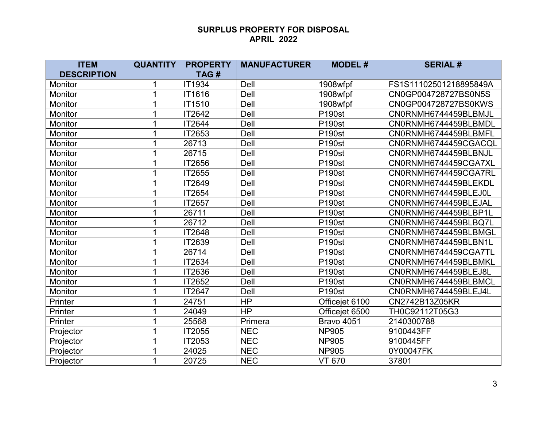| <b>ITEM</b>        | <b>QUANTITY</b> | <b>PROPERTY</b> | <b>MANUFACTURER</b> | <b>MODEL#</b>     | <b>SERIAL#</b>         |
|--------------------|-----------------|-----------------|---------------------|-------------------|------------------------|
| <b>DESCRIPTION</b> |                 | TAG#            |                     |                   |                        |
| Monitor            |                 | <b>IT1934</b>   | Dell                | 1908wfpf          | FS1S11102501218895849A |
| Monitor            |                 | IT1616          | Dell                | 1908wfpf          | CN0GP004728727BS0N5S   |
| Monitor            |                 | IT1510          | Dell                | 1908wfpf          | CN0GP004728727BS0KWS   |
| Monitor            |                 | IT2642          | Dell                | <b>P190st</b>     | CN0RNMH6744459BLBMJL   |
| Monitor            |                 | IT2644          | Dell                | <b>P190st</b>     | CN0RNMH6744459BLBMDL   |
| Monitor            |                 | IT2653          | Dell                | <b>P190st</b>     | CN0RNMH6744459BLBMFL   |
| <b>Monitor</b>     |                 | 26713           | Dell                | <b>P190st</b>     | CN0RNMH6744459CGACQL   |
| Monitor            |                 | 26715           | Dell                | <b>P190st</b>     | CN0RNMH6744459BLBNJL   |
| Monitor            |                 | IT2656          | Dell                | <b>P190st</b>     | CN0RNMH6744459CGA7XL   |
| Monitor            |                 | IT2655          | Dell                | <b>P190st</b>     | CN0RNMH6744459CGA7RL   |
| Monitor            |                 | IT2649          | Dell                | <b>P190st</b>     | CN0RNMH6744459BLEKDL   |
| Monitor            |                 | IT2654          | Dell                | <b>P190st</b>     | CN0RNMH6744459BLEJ0L   |
| Monitor            |                 | IT2657          | Dell                | <b>P190st</b>     | CN0RNMH6744459BLEJAL   |
| Monitor            |                 | 26711           | Dell                | <b>P190st</b>     | CN0RNMH6744459BLBP1L   |
| Monitor            |                 | 26712           | Dell                | <b>P190st</b>     | CN0RNMH6744459BLBQ7L   |
| <b>Monitor</b>     |                 | IT2648          | Dell                | <b>P190st</b>     | CN0RNMH6744459BLBMGL   |
| Monitor            |                 | IT2639          | Dell                | <b>P190st</b>     | CN0RNMH6744459BLBN1L   |
| Monitor            |                 | 26714           | Dell                | <b>P190st</b>     | CN0RNMH6744459CGA7TL   |
| Monitor            |                 | IT2634          | Dell                | <b>P190st</b>     | CN0RNMH6744459BLBMKL   |
| Monitor            |                 | IT2636          | Dell                | <b>P190st</b>     | CN0RNMH6744459BLEJ8L   |
| Monitor            |                 | IT2652          | Dell                | <b>P190st</b>     | CN0RNMH6744459BLBMCL   |
| Monitor            |                 | IT2647          | Dell                | <b>P190st</b>     | CN0RNMH6744459BLEJ4L   |
| Printer            |                 | 24751           | <b>HP</b>           | Officejet 6100    | CN2742B13Z05KR         |
| Printer            |                 | 24049           | <b>HP</b>           | Officejet 6500    | TH0C92112T05G3         |
| Printer            |                 | 25568           | Primera             | <b>Bravo 4051</b> | 2140300788             |
| Projector          |                 | IT2055          | <b>NEC</b>          | <b>NP905</b>      | 9100443FF              |
| Projector          |                 | IT2053          | <b>NEC</b>          | <b>NP905</b>      | 9100445FF              |
| Projector          |                 | 24025           | <b>NEC</b>          | <b>NP905</b>      | 0Y00047FK              |
| Projector          |                 | 20725           | <b>NEC</b>          | <b>VT 670</b>     | 37801                  |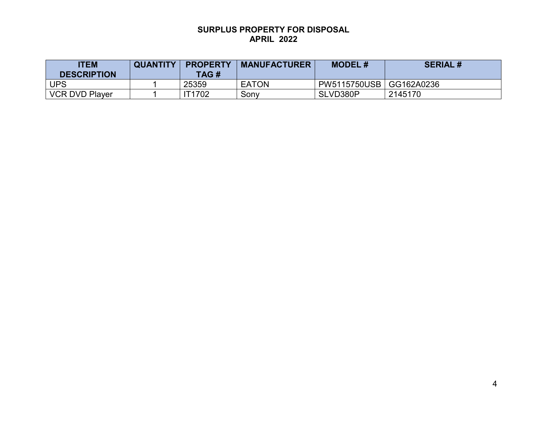| <b>ITEM</b><br><b>DESCRIPTION</b> | <b>QUANTITY</b> | <b>PROPERTY</b><br>TAG# | <b>MANUFACTURER</b> | <b>MODEL#</b> | <b>SERIAL#</b> |
|-----------------------------------|-----------------|-------------------------|---------------------|---------------|----------------|
| <b>UPS</b>                        |                 | 25359                   | <b>EATON</b>        | PW5115750USB  | GG162A0236     |
| <b>VCR DVD Player</b>             |                 | <b>IT1702</b>           | Sony                | SLVD380P      | 2145170        |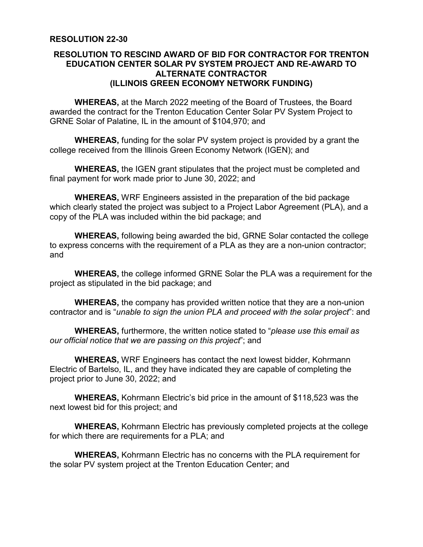## **RESOLUTION 22-30**

## **RESOLUTION TO RESCIND AWARD OF BID FOR CONTRACTOR FOR TRENTON EDUCATION CENTER SOLAR PV SYSTEM PROJECT AND RE-AWARD TO ALTERNATE CONTRACTOR (ILLINOIS GREEN ECONOMY NETWORK FUNDING)**

**WHEREAS,** at the March 2022 meeting of the Board of Trustees, the Board awarded the contract for the Trenton Education Center Solar PV System Project to GRNE Solar of Palatine, IL in the amount of \$104,970; and

**WHEREAS,** funding for the solar PV system project is provided by a grant the college received from the Illinois Green Economy Network (IGEN); and

**WHEREAS,** the IGEN grant stipulates that the project must be completed and final payment for work made prior to June 30, 2022; and

**WHEREAS,** WRF Engineers assisted in the preparation of the bid package which clearly stated the project was subject to a Project Labor Agreement (PLA), and a copy of the PLA was included within the bid package; and

**WHEREAS,** following being awarded the bid, GRNE Solar contacted the college to express concerns with the requirement of a PLA as they are a non-union contractor; and

**WHEREAS,** the college informed GRNE Solar the PLA was a requirement for the project as stipulated in the bid package; and

**WHEREAS,** the company has provided written notice that they are a non-union contractor and is "*unable to sign the union PLA and proceed with the solar project*": and

**WHEREAS,** furthermore, the written notice stated to "*please use this email as our official notice that we are passing on this project*"; and

**WHEREAS,** WRF Engineers has contact the next lowest bidder, Kohrmann Electric of Bartelso, IL, and they have indicated they are capable of completing the project prior to June 30, 2022; and

**WHEREAS,** Kohrmann Electric's bid price in the amount of \$118,523 was the next lowest bid for this project; and

**WHEREAS,** Kohrmann Electric has previously completed projects at the college for which there are requirements for a PLA; and

**WHEREAS,** Kohrmann Electric has no concerns with the PLA requirement for the solar PV system project at the Trenton Education Center; and